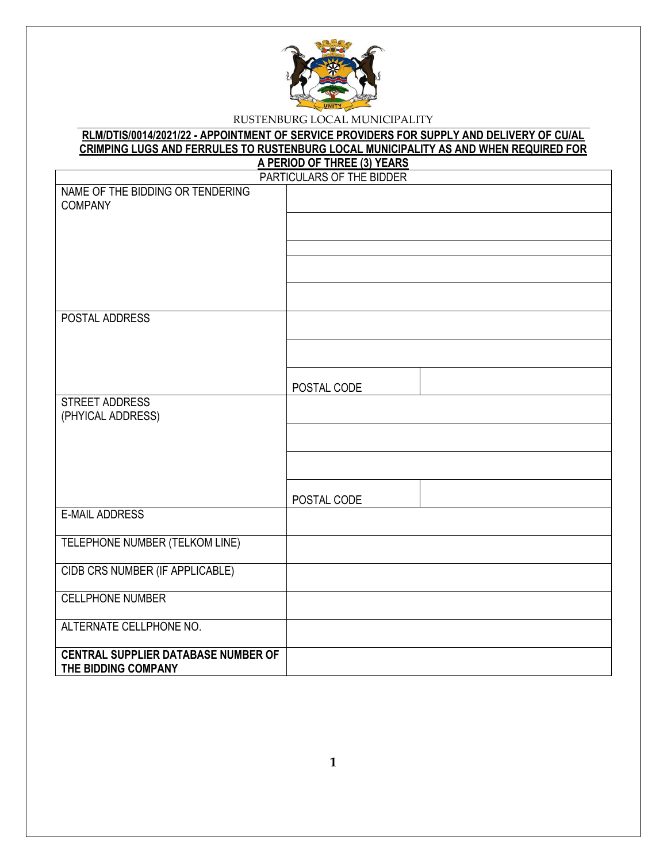

| RLM/DTIS/0014/2021/22 - APPOINTMENT OF SERVICE PROVIDERS FOR SUPPLY AND DELIVERY OF CU/AL |
|-------------------------------------------------------------------------------------------|
| CRIMPING LUGS AND FERRULES TO RUSTENBURG LOCAL MUNICIPALITY AS AND WHEN REQUIRED FOR      |
| A PERIOD OF THREE (3) YEARS                                                               |

|                                            | <u>AT ERIOD OF THREE (0) TEARS</u><br>PARTICULARS OF THE BIDDER |
|--------------------------------------------|-----------------------------------------------------------------|
| NAME OF THE BIDDING OR TENDERING           |                                                                 |
| <b>COMPANY</b>                             |                                                                 |
|                                            |                                                                 |
|                                            |                                                                 |
|                                            |                                                                 |
|                                            |                                                                 |
|                                            |                                                                 |
|                                            |                                                                 |
|                                            |                                                                 |
| POSTAL ADDRESS                             |                                                                 |
|                                            |                                                                 |
|                                            |                                                                 |
|                                            |                                                                 |
|                                            |                                                                 |
|                                            | POSTAL CODE                                                     |
| <b>STREET ADDRESS</b>                      |                                                                 |
| (PHYICAL ADDRESS)                          |                                                                 |
|                                            |                                                                 |
|                                            |                                                                 |
|                                            |                                                                 |
|                                            |                                                                 |
|                                            | POSTAL CODE                                                     |
| <b>E-MAIL ADDRESS</b>                      |                                                                 |
|                                            |                                                                 |
| TELEPHONE NUMBER (TELKOM LINE)             |                                                                 |
|                                            |                                                                 |
| CIDB CRS NUMBER (IF APPLICABLE)            |                                                                 |
|                                            |                                                                 |
| <b>CELLPHONE NUMBER</b>                    |                                                                 |
|                                            |                                                                 |
| ALTERNATE CELLPHONE NO.                    |                                                                 |
|                                            |                                                                 |
| <b>CENTRAL SUPPLIER DATABASE NUMBER OF</b> |                                                                 |
| THE BIDDING COMPANY                        |                                                                 |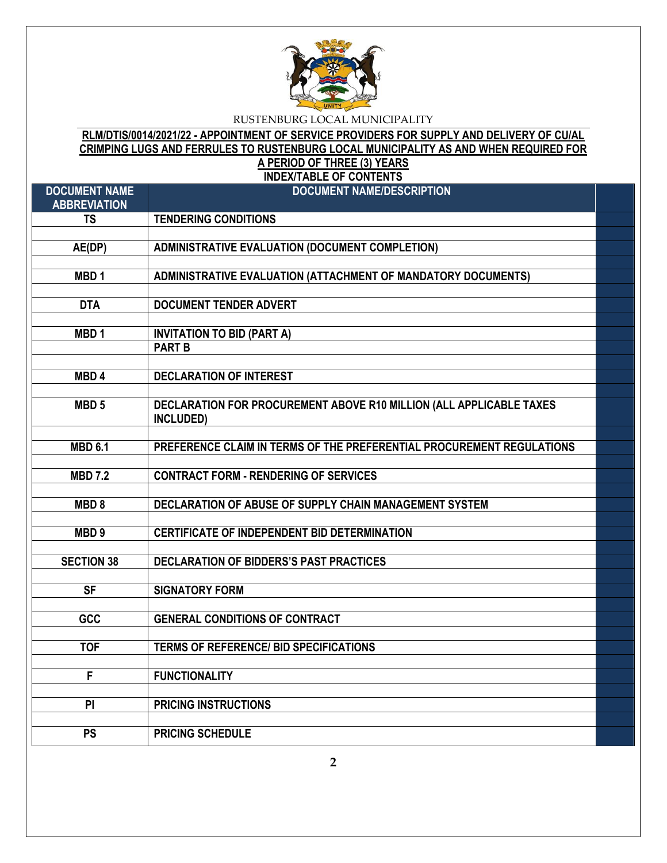

# **RLM/DTIS/0014/2021/22 - APPOINTMENT OF SERVICE PROVIDERS FOR SUPPLY AND DELIVERY OF CU/AL CRIMPING LUGS AND FERRULES TO RUSTENBURG LOCAL MUNICIPALITY AS AND WHEN REQUIRED FOR A PERIOD OF THREE (3) YEARS**

**INDEX/TABLE OF CONTENTS**

| <b>DOCUMENT NAME</b><br><b>ABBREVIATION</b> | <b>DOCUMENT NAME/DESCRIPTION</b>                                      |  |
|---------------------------------------------|-----------------------------------------------------------------------|--|
| <b>TS</b>                                   | <b>TENDERING CONDITIONS</b>                                           |  |
|                                             |                                                                       |  |
| AE(DP)                                      | <b>ADMINISTRATIVE EVALUATION (DOCUMENT COMPLETION)</b>                |  |
|                                             |                                                                       |  |
| MBD <sub>1</sub>                            | ADMINISTRATIVE EVALUATION (ATTACHMENT OF MANDATORY DOCUMENTS)         |  |
|                                             |                                                                       |  |
| <b>DTA</b>                                  | <b>DOCUMENT TENDER ADVERT</b>                                         |  |
|                                             |                                                                       |  |
| MBD <sub>1</sub>                            | <b>INVITATION TO BID (PART A)</b>                                     |  |
|                                             | <b>PART B</b>                                                         |  |
|                                             |                                                                       |  |
| MBD <sub>4</sub>                            | <b>DECLARATION OF INTEREST</b>                                        |  |
|                                             |                                                                       |  |
| MBD <sub>5</sub>                            | DECLARATION FOR PROCUREMENT ABOVE R10 MILLION (ALL APPLICABLE TAXES   |  |
|                                             | INCLUDED)                                                             |  |
|                                             |                                                                       |  |
| <b>MBD 6.1</b>                              | PREFERENCE CLAIM IN TERMS OF THE PREFERENTIAL PROCUREMENT REGULATIONS |  |
| <b>MBD 7.2</b>                              | <b>CONTRACT FORM - RENDERING OF SERVICES</b>                          |  |
|                                             |                                                                       |  |
| MBD <sub>8</sub>                            | DECLARATION OF ABUSE OF SUPPLY CHAIN MANAGEMENT SYSTEM                |  |
|                                             |                                                                       |  |
| MBD <sub>9</sub>                            | <b>CERTIFICATE OF INDEPENDENT BID DETERMINATION</b>                   |  |
|                                             |                                                                       |  |
| <b>SECTION 38</b>                           | DECLARATION OF BIDDERS'S PAST PRACTICES                               |  |
|                                             |                                                                       |  |
| $\overline{\mathsf{SF}}$                    | <b>SIGNATORY FORM</b>                                                 |  |
|                                             |                                                                       |  |
| GCC                                         | <b>GENERAL CONDITIONS OF CONTRACT</b>                                 |  |
|                                             |                                                                       |  |
| <b>TOF</b>                                  | <b>TERMS OF REFERENCE/ BID SPECIFICATIONS</b>                         |  |
|                                             |                                                                       |  |
| F                                           | <b>FUNCTIONALITY</b>                                                  |  |
|                                             |                                                                       |  |
| P                                           | <b>PRICING INSTRUCTIONS</b>                                           |  |
|                                             |                                                                       |  |
| <b>PS</b>                                   | <b>PRICING SCHEDULE</b>                                               |  |
|                                             |                                                                       |  |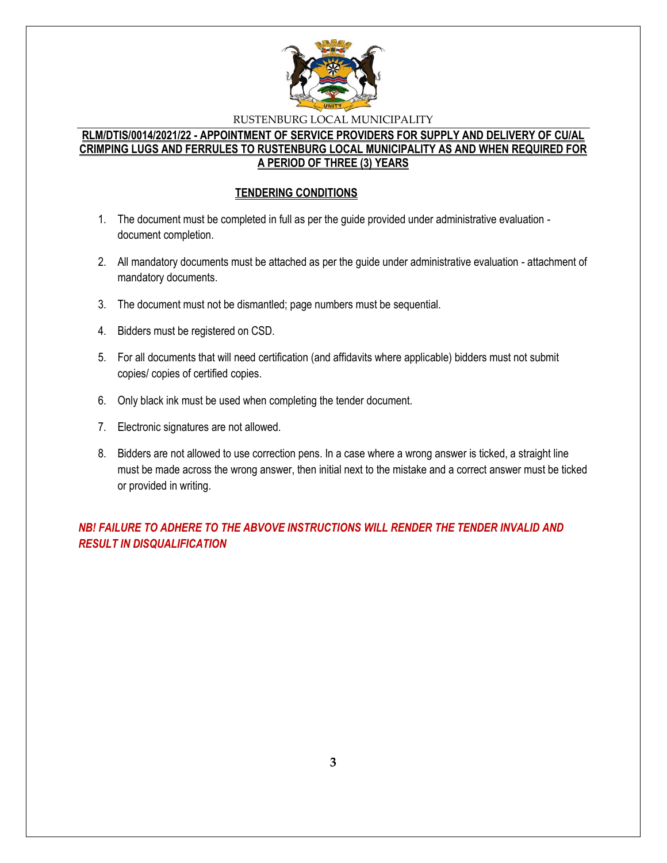

### **RLM/DTIS/0014/2021/22 - APPOINTMENT OF SERVICE PROVIDERS FOR SUPPLY AND DELIVERY OF CU/AL CRIMPING LUGS AND FERRULES TO RUSTENBURG LOCAL MUNICIPALITY AS AND WHEN REQUIRED FOR A PERIOD OF THREE (3) YEARS**

#### **TENDERING CONDITIONS**

- 1. The document must be completed in full as per the guide provided under administrative evaluation document completion.
- 2. All mandatory documents must be attached as per the guide under administrative evaluation attachment of mandatory documents.
- 3. The document must not be dismantled; page numbers must be sequential.
- 4. Bidders must be registered on CSD.
- 5. For all documents that will need certification (and affidavits where applicable) bidders must not submit copies/ copies of certified copies.
- 6. Only black ink must be used when completing the tender document.
- 7. Electronic signatures are not allowed.
- 8. Bidders are not allowed to use correction pens. In a case where a wrong answer is ticked, a straight line must be made across the wrong answer, then initial next to the mistake and a correct answer must be ticked or provided in writing.

*NB! FAILURE TO ADHERE TO THE ABVOVE INSTRUCTIONS WILL RENDER THE TENDER INVALID AND RESULT IN DISQUALIFICATION*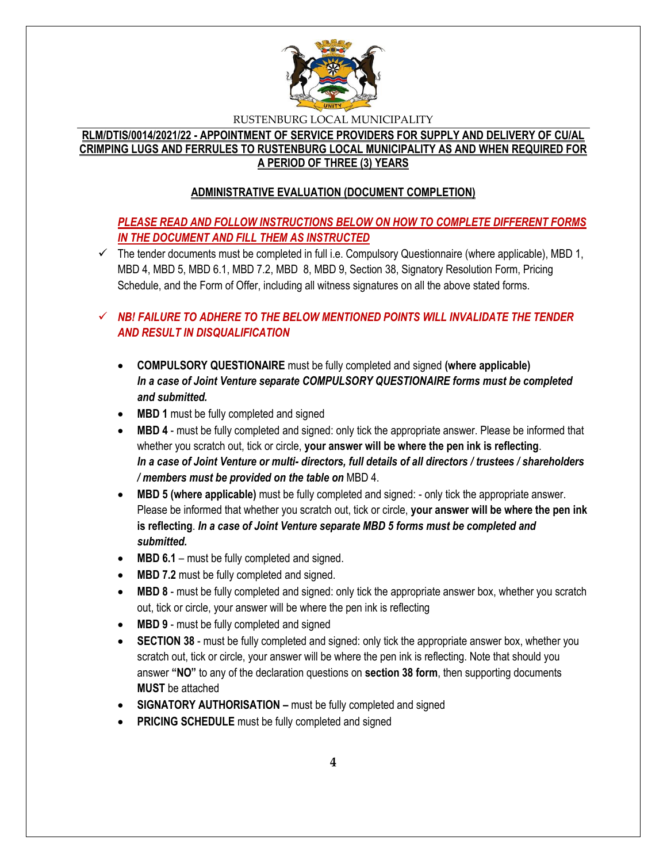

### **RLM/DTIS/0014/2021/22 - APPOINTMENT OF SERVICE PROVIDERS FOR SUPPLY AND DELIVERY OF CU/AL CRIMPING LUGS AND FERRULES TO RUSTENBURG LOCAL MUNICIPALITY AS AND WHEN REQUIRED FOR A PERIOD OF THREE (3) YEARS**

# **ADMINISTRATIVE EVALUATION (DOCUMENT COMPLETION)**

# *PLEASE READ AND FOLLOW INSTRUCTIONS BELOW ON HOW TO COMPLETE DIFFERENT FORMS IN THE DOCUMENT AND FILL THEM AS INSTRUCTED*

 $\checkmark$  The tender documents must be completed in full i.e. Compulsory Questionnaire (where applicable), MBD 1, MBD 4, MBD 5, MBD 6.1, MBD 7.2, MBD 8, MBD 9, Section 38, Signatory Resolution Form, Pricing Schedule, and the Form of Offer, including all witness signatures on all the above stated forms.

# $\checkmark$  **NB! FAILURE TO ADHERE TO THE BELOW MENTIONED POINTS WILL INVALIDATE THE TENDER** *AND RESULT IN DISQUALIFICATION*

- **COMPULSORY QUESTIONAIRE** must be fully completed and signed **(where applicable)** *In a case of Joint Venture separate COMPULSORY QUESTIONAIRE forms must be completed and submitted.*
- MBD 1 must be fully completed and signed
- **MBD 4** must be fully completed and signed: only tick the appropriate answer. Please be informed that whether you scratch out, tick or circle, **your answer will be where the pen ink is reflecting**. *In a case of Joint Venture or multi- directors, full details of all directors / trustees / shareholders / members must be provided on the table on* MBD 4.
- **MBD 5 (where applicable)** must be fully completed and signed: only tick the appropriate answer. Please be informed that whether you scratch out, tick or circle, **your answer will be where the pen ink is reflecting**. *In a case of Joint Venture separate MBD 5 forms must be completed and submitted.*
- MBD 6.1 must be fully completed and signed.
- **MBD 7.2** must be fully completed and signed.
- **MBD 8** must be fully completed and signed: only tick the appropriate answer box, whether you scratch out, tick or circle, your answer will be where the pen ink is reflecting
- **MBD 9** must be fully completed and signed
- **SECTION 38** must be fully completed and signed: only tick the appropriate answer box, whether you scratch out, tick or circle, your answer will be where the pen ink is reflecting. Note that should you answer **"NO"** to any of the declaration questions on **section 38 form**, then supporting documents **MUST** be attached
- **SIGNATORY AUTHORISATION –** must be fully completed and signed
- **PRICING SCHEDULE** must be fully completed and signed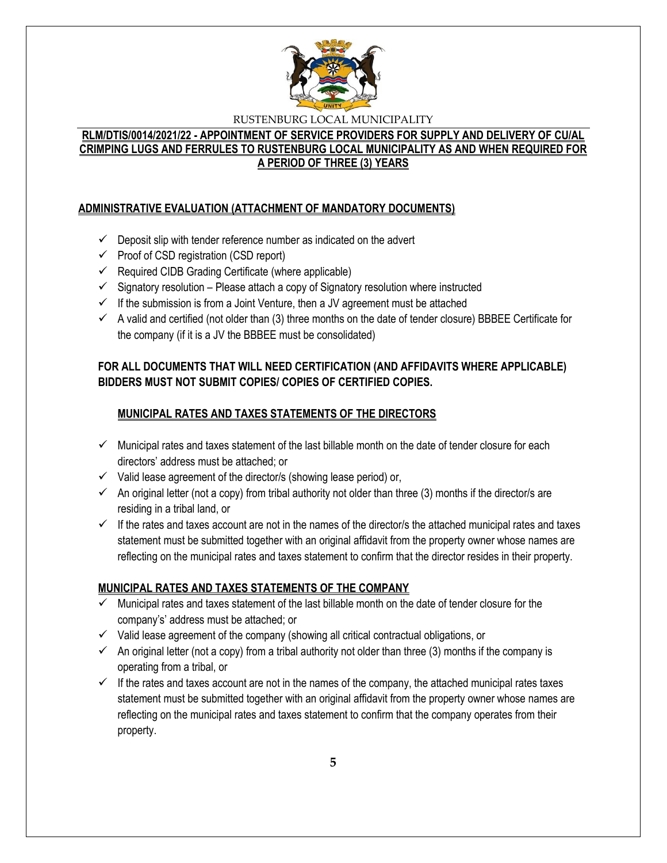

## **RLM/DTIS/0014/2021/22 - APPOINTMENT OF SERVICE PROVIDERS FOR SUPPLY AND DELIVERY OF CU/AL CRIMPING LUGS AND FERRULES TO RUSTENBURG LOCAL MUNICIPALITY AS AND WHEN REQUIRED FOR A PERIOD OF THREE (3) YEARS**

# **ADMINISTRATIVE EVALUATION (ATTACHMENT OF MANDATORY DOCUMENTS)**

- $\checkmark$  Deposit slip with tender reference number as indicated on the advert
- $\checkmark$  Proof of CSD registration (CSD report)
- $\checkmark$  Required CIDB Grading Certificate (where applicable)
- $\checkmark$  Signatory resolution Please attach a copy of Signatory resolution where instructed
- $\checkmark$  If the submission is from a Joint Venture, then a JV agreement must be attached
- $\checkmark$  A valid and certified (not older than (3) three months on the date of tender closure) BBBEE Certificate for the company (if it is a JV the BBBEE must be consolidated)

# **FOR ALL DOCUMENTS THAT WILL NEED CERTIFICATION (AND AFFIDAVITS WHERE APPLICABLE) BIDDERS MUST NOT SUBMIT COPIES/ COPIES OF CERTIFIED COPIES.**

# **MUNICIPAL RATES AND TAXES STATEMENTS OF THE DIRECTORS**

- $\checkmark$  Municipal rates and taxes statement of the last billable month on the date of tender closure for each directors' address must be attached; or
- $\checkmark$  Valid lease agreement of the director/s (showing lease period) or,
- $\checkmark$  An original letter (not a copy) from tribal authority not older than three (3) months if the director/s are residing in a tribal land, or
- $\checkmark$  If the rates and taxes account are not in the names of the director/s the attached municipal rates and taxes statement must be submitted together with an original affidavit from the property owner whose names are reflecting on the municipal rates and taxes statement to confirm that the director resides in their property.

### **MUNICIPAL RATES AND TAXES STATEMENTS OF THE COMPANY**

- $\checkmark$  Municipal rates and taxes statement of the last billable month on the date of tender closure for the company's' address must be attached; or
- $\checkmark$  Valid lease agreement of the company (showing all critical contractual obligations, or
- $\checkmark$  An original letter (not a copy) from a tribal authority not older than three (3) months if the company is operating from a tribal, or
- $\checkmark$  If the rates and taxes account are not in the names of the company, the attached municipal rates taxes statement must be submitted together with an original affidavit from the property owner whose names are reflecting on the municipal rates and taxes statement to confirm that the company operates from their property.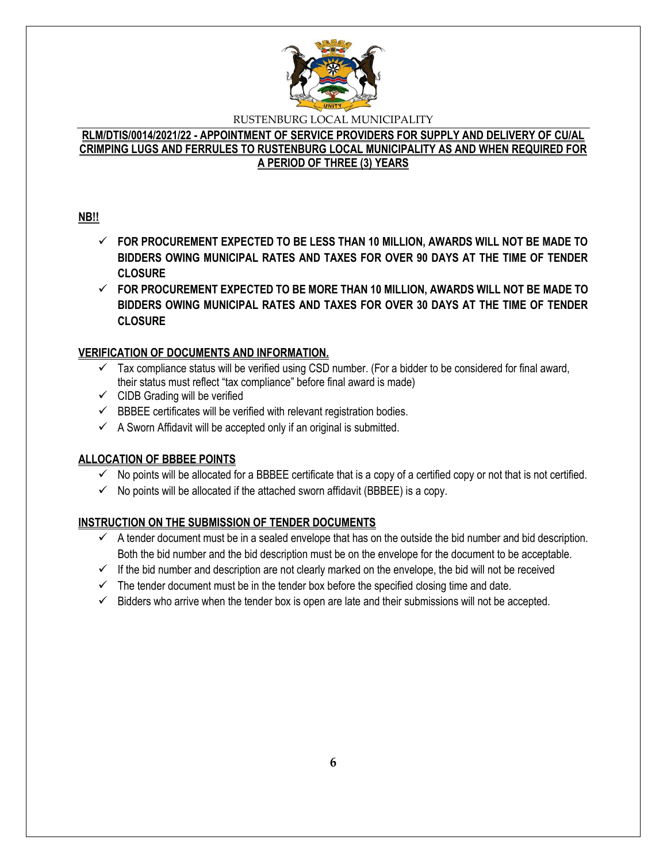

### **RLM/DTIS/0014/2021/22 - APPOINTMENT OF SERVICE PROVIDERS FOR SUPPLY AND DELIVERY OF CU/AL CRIMPING LUGS AND FERRULES TO RUSTENBURG LOCAL MUNICIPALITY AS AND WHEN REQUIRED FOR A PERIOD OF THREE (3) YEARS**

# **NB!!**

- **FOR PROCUREMENT EXPECTED TO BE LESS THAN 10 MILLION, AWARDS WILL NOT BE MADE TO BIDDERS OWING MUNICIPAL RATES AND TAXES FOR OVER 90 DAYS AT THE TIME OF TENDER CLOSURE**
- **FOR PROCUREMENT EXPECTED TO BE MORE THAN 10 MILLION, AWARDS WILL NOT BE MADE TO BIDDERS OWING MUNICIPAL RATES AND TAXES FOR OVER 30 DAYS AT THE TIME OF TENDER CLOSURE**

# **VERIFICATION OF DOCUMENTS AND INFORMATION.**

- $\checkmark$  Tax compliance status will be verified using CSD number. (For a bidder to be considered for final award, their status must reflect "tax compliance" before final award is made)
- $\checkmark$  CIDB Grading will be verified
- $\checkmark$  BBBEE certificates will be verified with relevant registration bodies.
- $\checkmark$  A Sworn Affidavit will be accepted only if an original is submitted.

# **ALLOCATION OF BBBEE POINTS**

- $\checkmark$  No points will be allocated for a BBBEE certificate that is a copy of a certified copy or not that is not certified.
- $\checkmark$  No points will be allocated if the attached sworn affidavit (BBBEE) is a copy.

# **INSTRUCTION ON THE SUBMISSION OF TENDER DOCUMENTS**

- $\checkmark$  A tender document must be in a sealed envelope that has on the outside the bid number and bid description. Both the bid number and the bid description must be on the envelope for the document to be acceptable.
- $\checkmark$  If the bid number and description are not clearly marked on the envelope, the bid will not be received
- $\checkmark$  The tender document must be in the tender box before the specified closing time and date.
- $\checkmark$  Bidders who arrive when the tender box is open are late and their submissions will not be accepted.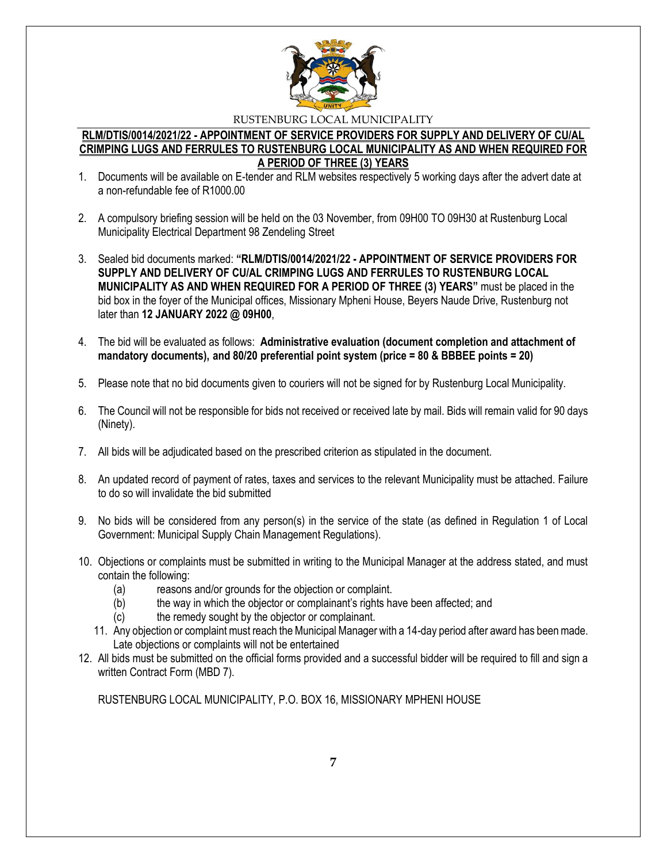

#### **RLM/DTIS/0014/2021/22 - APPOINTMENT OF SERVICE PROVIDERS FOR SUPPLY AND DELIVERY OF CU/AL CRIMPING LUGS AND FERRULES TO RUSTENBURG LOCAL MUNICIPALITY AS AND WHEN REQUIRED FOR A PERIOD OF THREE (3) YEARS**

- 1. Documents will be available on E-tender and RLM websites respectively 5 working days after the advert date at a non-refundable fee of R1000.00
- 2. A compulsory briefing session will be held on the 03 November, from 09H00 TO 09H30 at Rustenburg Local Municipality Electrical Department 98 Zendeling Street
- 3. Sealed bid documents marked: **"RLM/DTIS/0014/2021/22 - APPOINTMENT OF SERVICE PROVIDERS FOR SUPPLY AND DELIVERY OF CU/AL CRIMPING LUGS AND FERRULES TO RUSTENBURG LOCAL MUNICIPALITY AS AND WHEN REQUIRED FOR A PERIOD OF THREE (3) YEARS"** must be placed in the bid box in the foyer of the Municipal offices, Missionary Mpheni House, Beyers Naude Drive, Rustenburg not later than **12 JANUARY 2022 @ 09H00**,
- 4. The bid will be evaluated as follows: **Administrative evaluation (document completion and attachment of mandatory documents), and 80/20 preferential point system (price = 80 & BBBEE points = 20)**
- 5. Please note that no bid documents given to couriers will not be signed for by Rustenburg Local Municipality.
- 6. The Council will not be responsible for bids not received or received late by mail. Bids will remain valid for 90 days (Ninety).
- 7. All bids will be adjudicated based on the prescribed criterion as stipulated in the document.
- 8. An updated record of payment of rates, taxes and services to the relevant Municipality must be attached. Failure to do so will invalidate the bid submitted
- 9. No bids will be considered from any person(s) in the service of the state (as defined in Regulation 1 of Local Government: Municipal Supply Chain Management Regulations).
- 10. Objections or complaints must be submitted in writing to the Municipal Manager at the address stated, and must contain the following:
	- (a) reasons and/or grounds for the objection or complaint.
	- (b) the way in which the objector or complainant's rights have been affected; and
	- (c) the remedy sought by the objector or complainant.
	- 11. Any objection or complaint must reach the Municipal Manager with a 14-day period after award has been made. Late objections or complaints will not be entertained
- 12. All bids must be submitted on the official forms provided and a successful bidder will be required to fill and sign a written Contract Form (MBD 7).

RUSTENBURG LOCAL MUNICIPALITY, P.O. BOX 16, MISSIONARY MPHENI HOUSE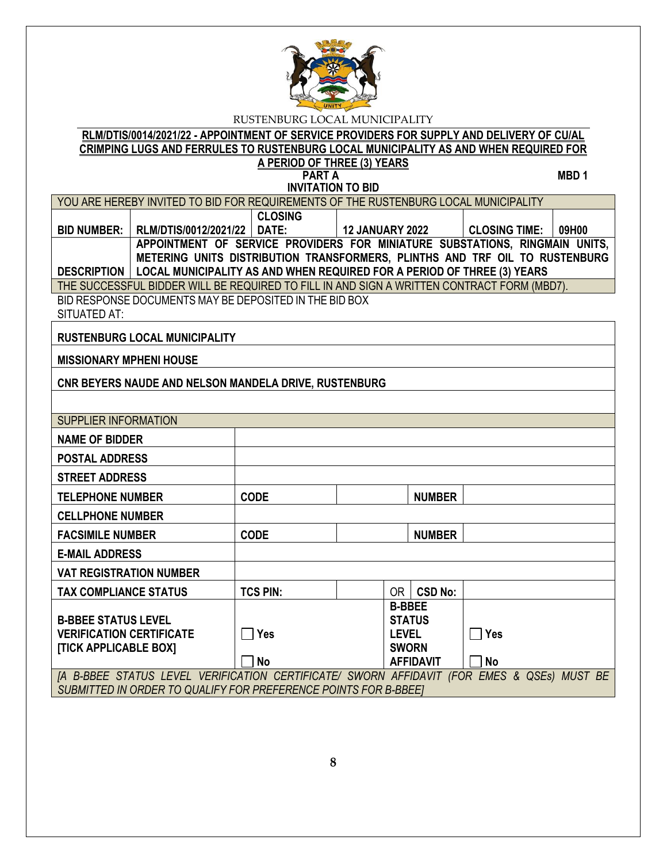

# **RLM/DTIS/0014/2021/22 - APPOINTMENT OF SERVICE PROVIDERS FOR SUPPLY AND DELIVERY OF CU/AL CRIMPING LUGS AND FERRULES TO RUSTENBURG LOCAL MUNICIPALITY AS AND WHEN REQUIRED FOR**

#### **A PERIOD OF THREE (3) YEARS PART A** MBD 1

| <b>INVITATION TO BID</b>                                                                                                                                                            |                                      |                                                                             |                        |                              |                  |                      |       |
|-------------------------------------------------------------------------------------------------------------------------------------------------------------------------------------|--------------------------------------|-----------------------------------------------------------------------------|------------------------|------------------------------|------------------|----------------------|-------|
| YOU ARE HEREBY INVITED TO BID FOR REQUIREMENTS OF THE RUSTENBURG LOCAL MUNICIPALITY                                                                                                 |                                      |                                                                             |                        |                              |                  |                      |       |
|                                                                                                                                                                                     |                                      | <b>CLOSING</b>                                                              |                        |                              |                  |                      |       |
| <b>BID NUMBER:</b>                                                                                                                                                                  | RLM/DTIS/0012/2021/22 DATE:          |                                                                             | <b>12 JANUARY 2022</b> |                              |                  | <b>CLOSING TIME:</b> | 09H00 |
|                                                                                                                                                                                     |                                      | APPOINTMENT OF SERVICE PROVIDERS FOR MINIATURE SUBSTATIONS, RINGMAIN UNITS, |                        |                              |                  |                      |       |
|                                                                                                                                                                                     |                                      | METERING UNITS DISTRIBUTION TRANSFORMERS, PLINTHS AND TRF OIL TO RUSTENBURG |                        |                              |                  |                      |       |
| DESCRIPTION   LOCAL MUNICIPALITY AS AND WHEN REQUIRED FOR A PERIOD OF THREE (3) YEARS<br>THE SUCCESSFUL BIDDER WILL BE REQUIRED TO FILL IN AND SIGN A WRITTEN CONTRACT FORM (MBD7). |                                      |                                                                             |                        |                              |                  |                      |       |
|                                                                                                                                                                                     |                                      | BID RESPONSE DOCUMENTS MAY BE DEPOSITED IN THE BID BOX                      |                        |                              |                  |                      |       |
| SITUATED AT:                                                                                                                                                                        |                                      |                                                                             |                        |                              |                  |                      |       |
|                                                                                                                                                                                     | <b>RUSTENBURG LOCAL MUNICIPALITY</b> |                                                                             |                        |                              |                  |                      |       |
| <b>MISSIONARY MPHENI HOUSE</b>                                                                                                                                                      |                                      |                                                                             |                        |                              |                  |                      |       |
|                                                                                                                                                                                     |                                      | CNR BEYERS NAUDE AND NELSON MANDELA DRIVE, RUSTENBURG                       |                        |                              |                  |                      |       |
|                                                                                                                                                                                     |                                      |                                                                             |                        |                              |                  |                      |       |
| <b>SUPPLIER INFORMATION</b>                                                                                                                                                         |                                      |                                                                             |                        |                              |                  |                      |       |
| <b>NAME OF BIDDER</b>                                                                                                                                                               |                                      |                                                                             |                        |                              |                  |                      |       |
| <b>POSTAL ADDRESS</b>                                                                                                                                                               |                                      |                                                                             |                        |                              |                  |                      |       |
| <b>STREET ADDRESS</b>                                                                                                                                                               |                                      |                                                                             |                        |                              |                  |                      |       |
| <b>TELEPHONE NUMBER</b>                                                                                                                                                             |                                      | <b>CODE</b>                                                                 |                        |                              | <b>NUMBER</b>    |                      |       |
| <b>CELLPHONE NUMBER</b>                                                                                                                                                             |                                      |                                                                             |                        |                              |                  |                      |       |
| <b>FACSIMILE NUMBER</b>                                                                                                                                                             |                                      | <b>CODE</b>                                                                 |                        |                              | <b>NUMBER</b>    |                      |       |
| <b>E-MAIL ADDRESS</b>                                                                                                                                                               |                                      |                                                                             |                        |                              |                  |                      |       |
| <b>VAT REGISTRATION NUMBER</b>                                                                                                                                                      |                                      |                                                                             |                        |                              |                  |                      |       |
| <b>TAX COMPLIANCE STATUS</b>                                                                                                                                                        |                                      | <b>TCS PIN:</b>                                                             |                        |                              | OR GSD No:       |                      |       |
|                                                                                                                                                                                     |                                      |                                                                             |                        | <b>B-BBEE</b>                |                  |                      |       |
| <b>B-BBEE STATUS LEVEL</b>                                                                                                                                                          |                                      |                                                                             |                        |                              | <b>STATUS</b>    |                      |       |
| <b>VERIFICATION CERTIFICATE</b><br><b>[TICK APPLICABLE BOX]</b>                                                                                                                     |                                      | <b>Yes</b>                                                                  |                        | <b>LEVEL</b><br><b>SWORN</b> |                  | $\Box$ Yes           |       |
|                                                                                                                                                                                     |                                      | <b>No</b>                                                                   |                        |                              | <b>AFFIDAVIT</b> | <b>No</b>            |       |
| [A B-BBEE STATUS LEVEL VERIFICATION CERTIFICATE/ SWORN AFFIDAVIT (FOR EMES & QSEs) MUST BE                                                                                          |                                      |                                                                             |                        |                              |                  |                      |       |
| SUBMITTED IN ORDER TO QUALIFY FOR PREFERENCE POINTS FOR B-BBEET                                                                                                                     |                                      |                                                                             |                        |                              |                  |                      |       |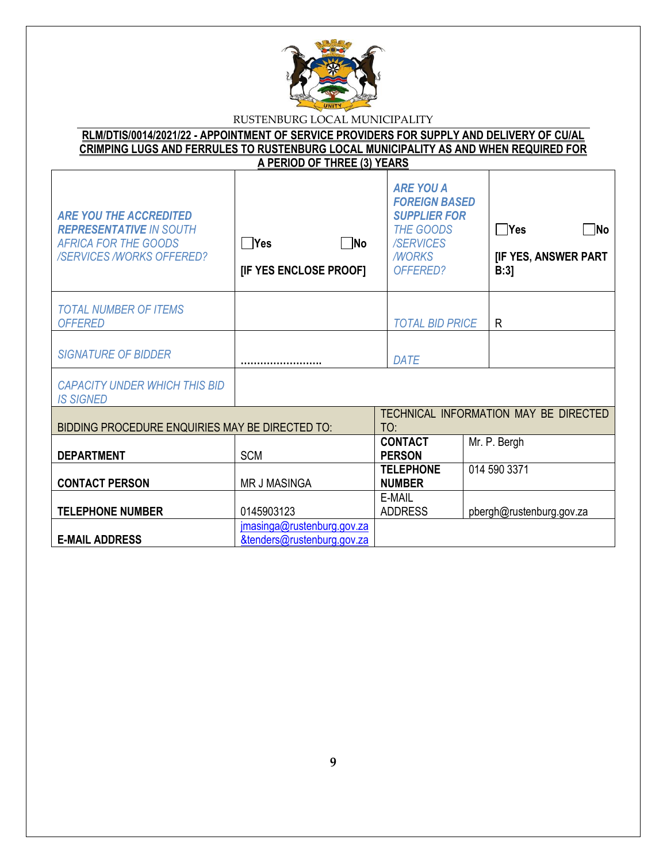

| RLM/DTIS/0014/2021/22 - APPOINTMENT OF SERVICE PROVIDERS FOR SUPPLY AND DELIVERY OF CU/AL    |                             |  |
|----------------------------------------------------------------------------------------------|-----------------------------|--|
| <u>CRIMPING LUGS AND FERRULES TO RUSTENBURG LOCAL MUNICIPALITY AS AND WHEN REQUIRED FOR </u> |                             |  |
|                                                                                              | A PERIOD OF THREE (3) YEARS |  |
|                                                                                              |                             |  |

٦

| <b>ARE YOU THE ACCREDITED</b><br><b>REPRESENTATIVE IN SOUTH</b><br><b>AFRICA FOR THE GOODS</b><br><b>/SERVICES /WORKS OFFERED?</b> | $\n  No\n$<br><b>PYes</b><br>[IF YES ENCLOSE PROOF]      | <b>ARE YOU A</b><br><b>FOREIGN BASED</b><br><b>SUPPLIER FOR</b><br><b>THE GOODS</b><br><b>/SERVICES</b><br><b>MORKS</b><br>OFFERED? | $\Box$ Yes<br>∏No<br>[IF YES, ANSWER PART<br>B:3 |
|------------------------------------------------------------------------------------------------------------------------------------|----------------------------------------------------------|-------------------------------------------------------------------------------------------------------------------------------------|--------------------------------------------------|
| <b>TOTAL NUMBER OF ITEMS</b><br><b>OFFERED</b>                                                                                     |                                                          | <b>TOTAL BID PRICE</b>                                                                                                              | R                                                |
| <b>SIGNATURE OF BIDDER</b>                                                                                                         |                                                          | DATE                                                                                                                                |                                                  |
| <b>CAPACITY UNDER WHICH THIS BID</b><br><b>IS SIGNED</b>                                                                           |                                                          |                                                                                                                                     |                                                  |
| BIDDING PROCEDURE ENQUIRIES MAY BE DIRECTED TO:                                                                                    |                                                          | TO:                                                                                                                                 | TECHNICAL INFORMATION MAY BE DIRECTED            |
| <b>DEPARTMENT</b>                                                                                                                  | <b>SCM</b>                                               | <b>CONTACT</b><br><b>PERSON</b>                                                                                                     | Mr. P. Bergh                                     |
| <b>CONTACT PERSON</b>                                                                                                              | <b>MR J MASINGA</b>                                      | <b>TELEPHONE</b><br><b>NUMBER</b>                                                                                                   | 014 590 3371                                     |
| <b>TELEPHONE NUMBER</b>                                                                                                            | 0145903123                                               | E-MAIL<br><b>ADDRESS</b>                                                                                                            | pbergh@rustenburg.gov.za                         |
| <b>E-MAIL ADDRESS</b>                                                                                                              | jmasinga@rustenburg.gov.za<br>&tenders@rustenburg.gov.za |                                                                                                                                     |                                                  |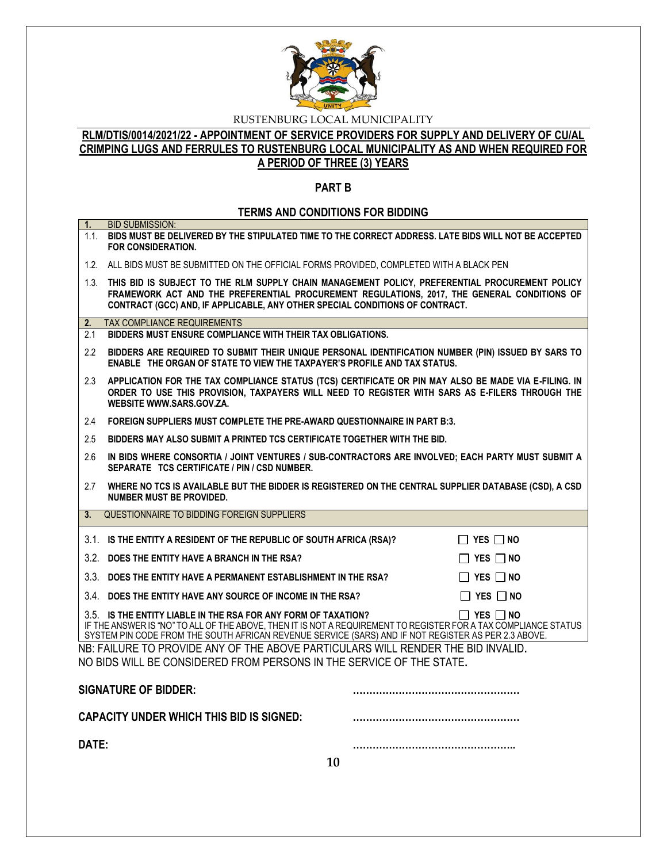

### **RLM/DTIS/0014/2021/22 - APPOINTMENT OF SERVICE PROVIDERS FOR SUPPLY AND DELIVERY OF CU/AL CRIMPING LUGS AND FERRULES TO RUSTENBURG LOCAL MUNICIPALITY AS AND WHEN REQUIRED FOR A PERIOD OF THREE (3) YEARS**

### **PART B**

# **TERMS AND CONDITIONS FOR BIDDING**

| 1.    | <b>BID SUBMISSION:</b>                                                                                                                                                                                                                                                                                           |
|-------|------------------------------------------------------------------------------------------------------------------------------------------------------------------------------------------------------------------------------------------------------------------------------------------------------------------|
|       | 1.1. BIDS MUST BE DELIVERED BY THE STIPULATED TIME TO THE CORRECT ADDRESS. LATE BIDS WILL NOT BE ACCEPTED<br><b>FOR CONSIDERATION.</b>                                                                                                                                                                           |
|       | 1.2. ALL BIDS MUST BE SUBMITTED ON THE OFFICIAL FORMS PROVIDED, COMPLETED WITH A BLACK PEN                                                                                                                                                                                                                       |
|       | 1.3. THIS BID IS SUBJECT TO THE RLM SUPPLY CHAIN MANAGEMENT POLICY, PREFERENTIAL PROCUREMENT POLICY<br>FRAMEWORK ACT AND THE PREFERENTIAL PROCUREMENT REGULATIONS, 2017, THE GENERAL CONDITIONS OF<br>CONTRACT (GCC) AND, IF APPLICABLE, ANY OTHER SPECIAL CONDITIONS OF CONTRACT.                               |
| 2.    | TAX COMPLIANCE REQUIREMENTS                                                                                                                                                                                                                                                                                      |
| 2.1   | BIDDERS MUST ENSURE COMPLIANCE WITH THEIR TAX OBLIGATIONS.                                                                                                                                                                                                                                                       |
| 2.2   | BIDDERS ARE REQUIRED TO SUBMIT THEIR UNIQUE PERSONAL IDENTIFICATION NUMBER (PIN) ISSUED BY SARS TO<br>ENABLE THE ORGAN OF STATE TO VIEW THE TAXPAYER'S PROFILE AND TAX STATUS.                                                                                                                                   |
| 2.3   | APPLICATION FOR THE TAX COMPLIANCE STATUS (TCS) CERTIFICATE OR PIN MAY ALSO BE MADE VIA E-FILING. IN<br>ORDER TO USE THIS PROVISION, TAXPAYERS WILL NEED TO REGISTER WITH SARS AS E-FILERS THROUGH THE<br>WEBSITE WWW.SARS.GOV.ZA.                                                                               |
| 2.4   | FOREIGN SUPPLIERS MUST COMPLETE THE PRE-AWARD QUESTIONNAIRE IN PART B:3.                                                                                                                                                                                                                                         |
| 2.5   | BIDDERS MAY ALSO SUBMIT A PRINTED TCS CERTIFICATE TOGETHER WITH THE BID.                                                                                                                                                                                                                                         |
| 2.6   | IN BIDS WHERE CONSORTIA / JOINT VENTURES / SUB-CONTRACTORS ARE INVOLVED; EACH PARTY MUST SUBMIT A<br>SEPARATE TCS CERTIFICATE / PIN / CSD NUMBER.                                                                                                                                                                |
| 2.7   | WHERE NO TCS IS AVAILABLE BUT THE BIDDER IS REGISTERED ON THE CENTRAL SUPPLIER DATABASE (CSD), A CSD<br><b>NUMBER MUST BE PROVIDED.</b>                                                                                                                                                                          |
| 3.    | QUESTIONNAIRE TO BIDDING FOREIGN SUPPLIERS                                                                                                                                                                                                                                                                       |
|       | 3.1. IS THE ENTITY A RESIDENT OF THE REPUBLIC OF SOUTH AFRICA (RSA)?<br>$\Box$ YES $\Box$ No                                                                                                                                                                                                                     |
|       | 3.2. DOES THE ENTITY HAVE A BRANCH IN THE RSA?<br>$\Box$ YES $\Box$ NO                                                                                                                                                                                                                                           |
|       | 3.3. DOES THE ENTITY HAVE A PERMANENT ESTABLISHMENT IN THE RSA?<br>$\Box$ YES $\Box$ NO                                                                                                                                                                                                                          |
|       | $\Box$ YES $\Box$ NO<br>3.4 DOES THE ENTITY HAVE ANY SOURCE OF INCOME IN THE RSA?                                                                                                                                                                                                                                |
|       | 3.5. IS THE ENTITY LIABLE IN THE RSA FOR ANY FORM OF TAXATION?<br>$\Box$ Yes $\Box$ No<br>IF THE ANSWER IS "NO" TO ALL OF THE ABOVE, THEN IT IS NOT A REQUIREMENT TO REGISTER FOR A TAX COMPLIANCE STATUS<br>SYSTEM PIN CODE FROM THE SOUTH AFRICAN REVENUE SERVICE (SARS) AND IF NOT REGISTER AS PER 2.3 ABOVE. |
|       | NB: FAILURE TO PROVIDE ANY OF THE ABOVE PARTICULARS WILL RENDER THE BID INVALID.<br>NO BIDS WILL BE CONSIDERED FROM PERSONS IN THE SERVICE OF THE STATE.                                                                                                                                                         |
|       | <b>SIGNATURE OF BIDDER:</b>                                                                                                                                                                                                                                                                                      |
|       | CAPACITY UNDER WHICH THIS BID IS SIGNED:                                                                                                                                                                                                                                                                         |
| DATE: |                                                                                                                                                                                                                                                                                                                  |
|       | 10                                                                                                                                                                                                                                                                                                               |
|       |                                                                                                                                                                                                                                                                                                                  |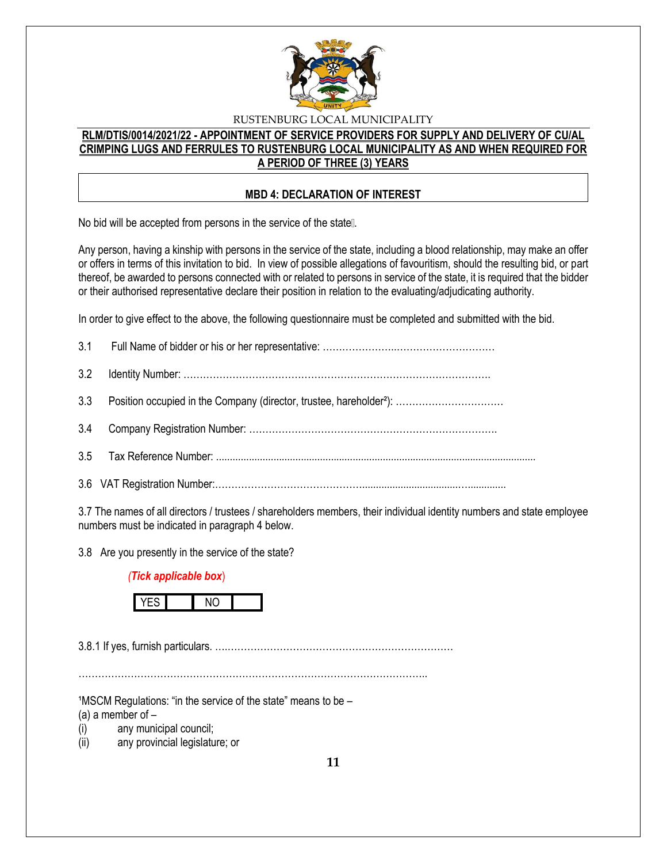

### **RLM/DTIS/0014/2021/22 - APPOINTMENT OF SERVICE PROVIDERS FOR SUPPLY AND DELIVERY OF CU/AL CRIMPING LUGS AND FERRULES TO RUSTENBURG LOCAL MUNICIPALITY AS AND WHEN REQUIRED FOR A PERIOD OF THREE (3) YEARS**

### **MBD 4: DECLARATION OF INTEREST**

No bid will be accepted from persons in the service of the state...

Any person, having a kinship with persons in the service of the state, including a blood relationship, may make an offer or offers in terms of this invitation to bid. In view of possible allegations of favouritism, should the resulting bid, or part thereof, be awarded to persons connected with or related to persons in service of the state, it is required that the bidder or their authorised representative declare their position in relation to the evaluating/adjudicating authority.

In order to give effect to the above, the following questionnaire must be completed and submitted with the bid.

3.7 The names of all directors / trustees / shareholders members, their individual identity numbers and state employee numbers must be indicated in paragraph 4 below.

3.8 Are you presently in the service of the state?

### *(Tick applicable box*)



3.8.1 If yes, furnish particulars. ….……………………………………………………………

 $1$ MSCM Regulations: "in the service of the state" means to be  $-$ 

(a) a member of  $-$ 

(i) any municipal council;

(ii) any provincial legislature; or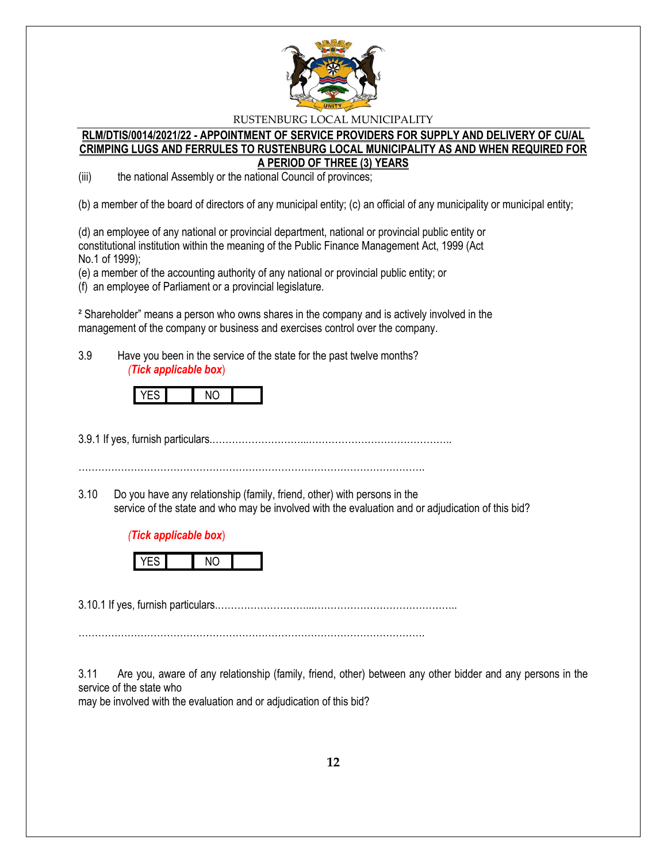

### **RLM/DTIS/0014/2021/22 - APPOINTMENT OF SERVICE PROVIDERS FOR SUPPLY AND DELIVERY OF CU/AL CRIMPING LUGS AND FERRULES TO RUSTENBURG LOCAL MUNICIPALITY AS AND WHEN REQUIRED FOR A PERIOD OF THREE (3) YEARS**

(iii) the national Assembly or the national Council of provinces;

(b) a member of the board of directors of any municipal entity; (c) an official of any municipality or municipal entity;

(d) an employee of any national or provincial department, national or provincial public entity or constitutional institution within the meaning of the Public Finance Management Act, 1999 (Act No.1 of 1999);

(e) a member of the accounting authority of any national or provincial public entity; or

(f) an employee of Parliament or a provincial legislature.

² Shareholder" means a person who owns shares in the company and is actively involved in the management of the company or business and exercises control over the company.

3.9 Have you been in the service of the state for the past twelve months? *(Tick applicable box*)



3.9.1 If yes, furnish particulars.………………………...……………………………………..

…………………………………………………………………………………………….

3.10 Do you have any relationship (family, friend, other) with persons in the service of the state and who may be involved with the evaluation and or adjudication of this bid?

### *(Tick applicable box*)



3.10.1 If yes, furnish particulars.………………………...……………………………………..

…………………………………………………………………………………………….

3.11 Are you, aware of any relationship (family, friend, other) between any other bidder and any persons in the service of the state who

may be involved with the evaluation and or adjudication of this bid?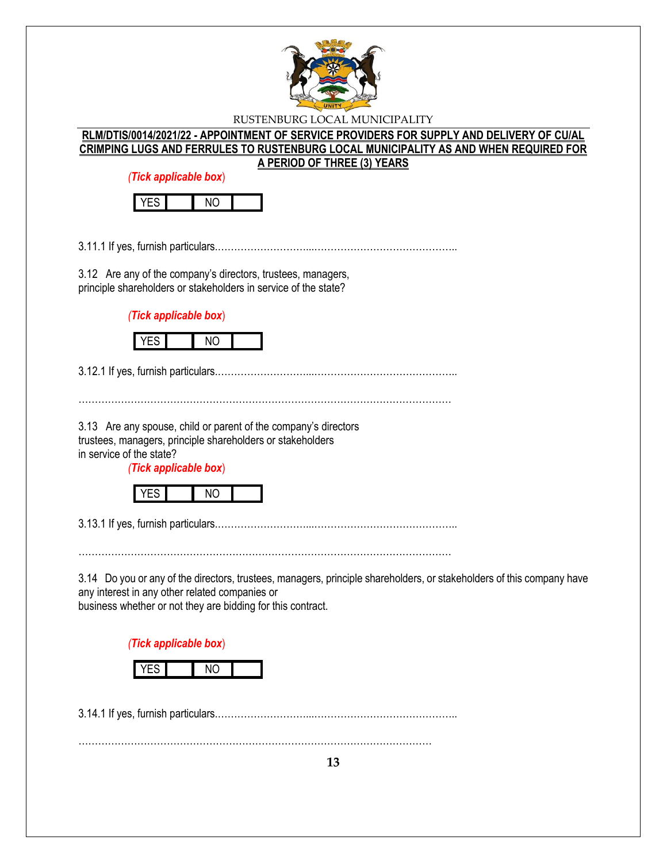

**RLM/DTIS/0014/2021/22 - APPOINTMENT OF SERVICE PROVIDERS FOR SUPPLY AND DELIVERY OF CU/AL CRIMPING LUGS AND FERRULES TO RUSTENBURG LOCAL MUNICIPALITY AS AND WHEN REQUIRED FOR A PERIOD OF THREE (3) YEARS**

*(Tick applicable box*)



3.11.1 If yes, furnish particulars.………………………...……………………………………..

3.12 Are any of the company's directors, trustees, managers, principle shareholders or stakeholders in service of the state?

*(Tick applicable box*)



3.12.1 If yes, furnish particulars.………………………...……………………………………..

3.13 Are any spouse, child or parent of the company's directors trustees, managers, principle shareholders or stakeholders

in service of the state?

*(Tick applicable box*)



3.13.1 If yes, furnish particulars.………………………...……………………………………..

……………………………………………………………………………………………………

3.14 Do you or any of the directors, trustees, managers, principle shareholders, or stakeholders of this company have any interest in any other related companies or business whether or not they are bidding for this contract.

……………………………………………………………………………………………………

*(Tick applicable box*)

3.14.1 If yes, furnish particulars.………………………...……………………………………..

………………………………………………………………………………………………

**13**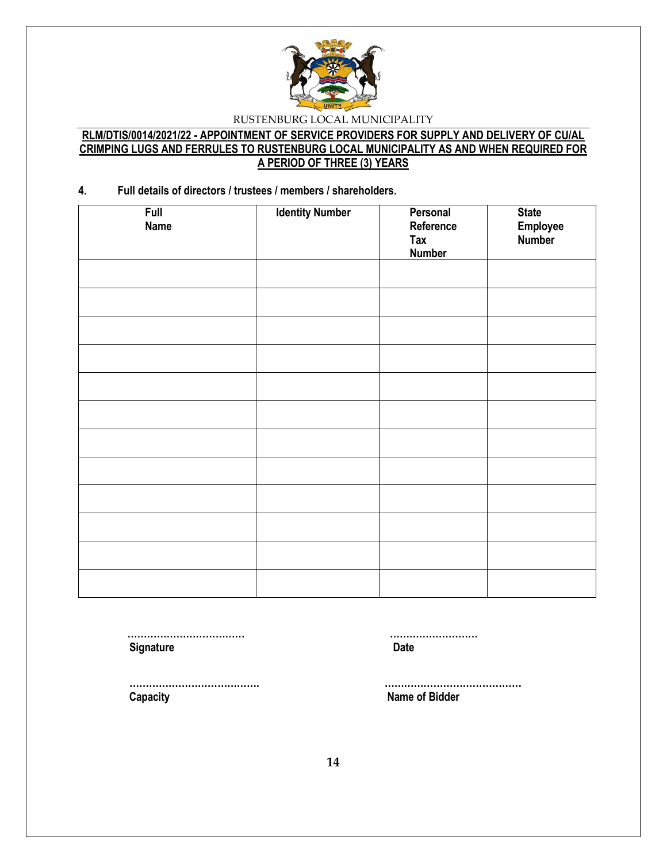

### **RLM/DTIS/0014/2021/22 - APPOINTMENT OF SERVICE PROVIDERS FOR SUPPLY AND DELIVERY OF CU/AL CRIMPING LUGS AND FERRULES TO RUSTENBURG LOCAL MUNICIPALITY AS AND WHEN REQUIRED FOR A PERIOD OF THREE (3) YEARS**

### **4. Full details of directors / trustees / members / shareholders.**

| <b>Full</b><br><b>Name</b> | <b>Identity Number</b> | Personal<br>Reference<br>Tax<br><b>Number</b> | <b>State</b><br>Employee<br>Number |
|----------------------------|------------------------|-----------------------------------------------|------------------------------------|
|                            |                        |                                               |                                    |
|                            |                        |                                               |                                    |
|                            |                        |                                               |                                    |
|                            |                        |                                               |                                    |
|                            |                        |                                               |                                    |
|                            |                        |                                               |                                    |
|                            |                        |                                               |                                    |
|                            |                        |                                               |                                    |
|                            |                        |                                               |                                    |
|                            |                        |                                               |                                    |
|                            |                        |                                               |                                    |

**Signature Date** 

 **……………………………… ………………………**

 **…………………………………. …………………………………… Capacity Name of Bidder**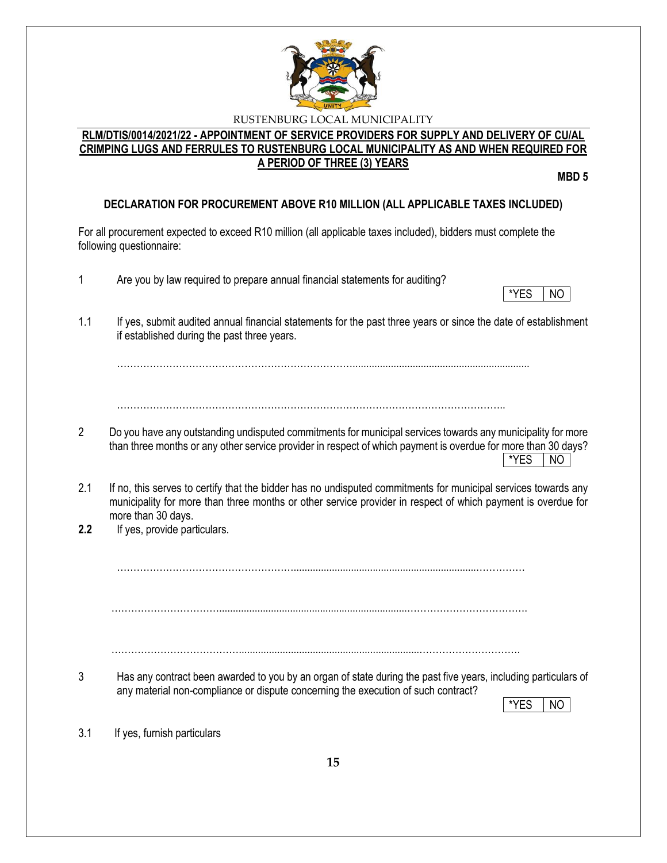

### **RLM/DTIS/0014/2021/22 - APPOINTMENT OF SERVICE PROVIDERS FOR SUPPLY AND DELIVERY OF CU/AL CRIMPING LUGS AND FERRULES TO RUSTENBURG LOCAL MUNICIPALITY AS AND WHEN REQUIRED FOR A PERIOD OF THREE (3) YEARS**

**MBD 5**

# **DECLARATION FOR PROCUREMENT ABOVE R10 MILLION (ALL APPLICABLE TAXES INCLUDED)**

For all procurement expected to exceed R10 million (all applicable taxes included), bidders must complete the following questionnaire:

- 1 Are you by law required to prepare annual financial statements for auditing?
- \*YES NO
- 1.1 If yes, submit audited annual financial statements for the past three years or since the date of establishment if established during the past three years.

……………………………………………………………….................................................................

………………………………………………………………………………………………………..

- 2 Do you have any outstanding undisputed commitments for municipal services towards any municipality for more than three months or any other service provider in respect of which payment is overdue for more than 30 days?  $*$ YES  $|$  NO
- 2.1 If no, this serves to certify that the bidder has no undisputed commitments for municipal services towards any municipality for more than three months or other service provider in respect of which payment is overdue for more than 30 days.
- **2.2** If yes, provide particulars.

………………………………………………...................................................................……………

…………………………….....................................................................……………………………….

…………………………………..................................................................………………………….

3 Has any contract been awarded to you by an organ of state during the past five years, including particulars of any material non-compliance or dispute concerning the execution of such contract?

\*YES I NO

3.1 If yes, furnish particulars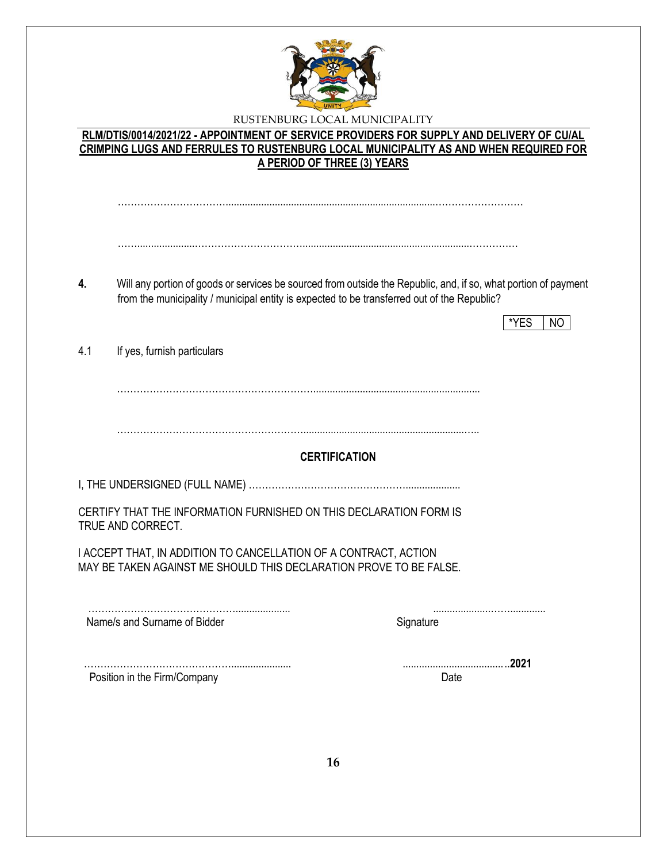

|     | CRIMPING LUGS AND FERRULES TO RUSTENBURG LOCAL MUNICIPALITY AS AND WHEN REQUIRED FOR<br>A PERIOD OF THREE (3) YEARS                                                                                            |                      |           |      |     |
|-----|----------------------------------------------------------------------------------------------------------------------------------------------------------------------------------------------------------------|----------------------|-----------|------|-----|
| 4.  | Will any portion of goods or services be sourced from outside the Republic, and, if so, what portion of payment<br>from the municipality / municipal entity is expected to be transferred out of the Republic? |                      |           | *YES | NO. |
| 4.1 | If yes, furnish particulars                                                                                                                                                                                    |                      |           |      |     |
|     |                                                                                                                                                                                                                |                      |           |      |     |
|     |                                                                                                                                                                                                                | <b>CERTIFICATION</b> |           |      |     |
|     | CERTIFY THAT THE INFORMATION FURNISHED ON THIS DECLARATION FORM IS<br>TRUE AND CORRECT.                                                                                                                        |                      |           |      |     |
|     | I ACCEPT THAT, IN ADDITION TO CANCELLATION OF A CONTRACT, ACTION<br>MAY BE TAKEN AGAINST ME SHOULD THIS DECLARATION PROVE TO BE FALSE.                                                                         |                      |           |      |     |
|     | Name/s and Surname of Bidder                                                                                                                                                                                   |                      | Signature |      |     |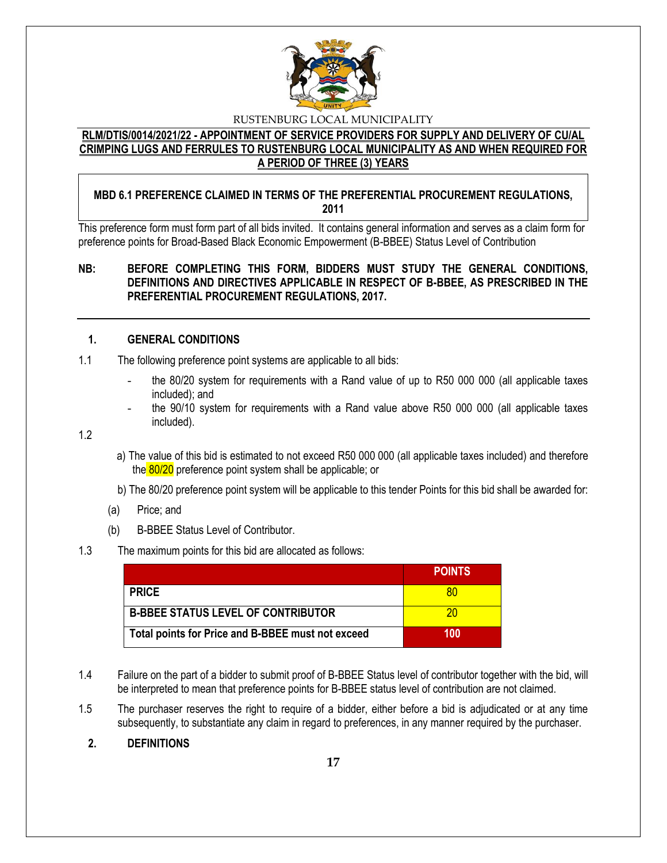

### **RLM/DTIS/0014/2021/22 - APPOINTMENT OF SERVICE PROVIDERS FOR SUPPLY AND DELIVERY OF CU/AL CRIMPING LUGS AND FERRULES TO RUSTENBURG LOCAL MUNICIPALITY AS AND WHEN REQUIRED FOR A PERIOD OF THREE (3) YEARS**

# **MBD 6.1 PREFERENCE CLAIMED IN TERMS OF THE PREFERENTIAL PROCUREMENT REGULATIONS, 2011**

This preference form must form part of all bids invited. It contains general information and serves as a claim form for preference points for Broad-Based Black Economic Empowerment (B-BBEE) Status Level of Contribution

## **NB: BEFORE COMPLETING THIS FORM, BIDDERS MUST STUDY THE GENERAL CONDITIONS, DEFINITIONS AND DIRECTIVES APPLICABLE IN RESPECT OF B-BBEE, AS PRESCRIBED IN THE PREFERENTIAL PROCUREMENT REGULATIONS, 2017.**

### **1. GENERAL CONDITIONS**

- 1.1 The following preference point systems are applicable to all bids:
	- the 80/20 system for requirements with a Rand value of up to R50 000 000 (all applicable taxes included); and
	- the 90/10 system for requirements with a Rand value above R50 000 000 (all applicable taxes included).

1.2

- a) The value of this bid is estimated to not exceed R50 000 000 (all applicable taxes included) and therefore the 80/20 preference point system shall be applicable; or
- b) The 80/20 preference point system will be applicable to this tender Points for this bid shall be awarded for:
- (a) Price; and
- (b) B-BBEE Status Level of Contributor.

### 1.3 The maximum points for this bid are allocated as follows:

|                                                   | <b>POINTS</b> |
|---------------------------------------------------|---------------|
| <b>PRICE</b>                                      |               |
| <b>B-BBEE STATUS LEVEL OF CONTRIBUTOR</b>         | ንበ            |
| Total points for Price and B-BBEE must not exceed | 100           |

- 1.4 Failure on the part of a bidder to submit proof of B-BBEE Status level of contributor together with the bid, will be interpreted to mean that preference points for B-BBEE status level of contribution are not claimed.
- 1.5 The purchaser reserves the right to require of a bidder, either before a bid is adjudicated or at any time subsequently, to substantiate any claim in regard to preferences, in any manner required by the purchaser.

### **2. DEFINITIONS**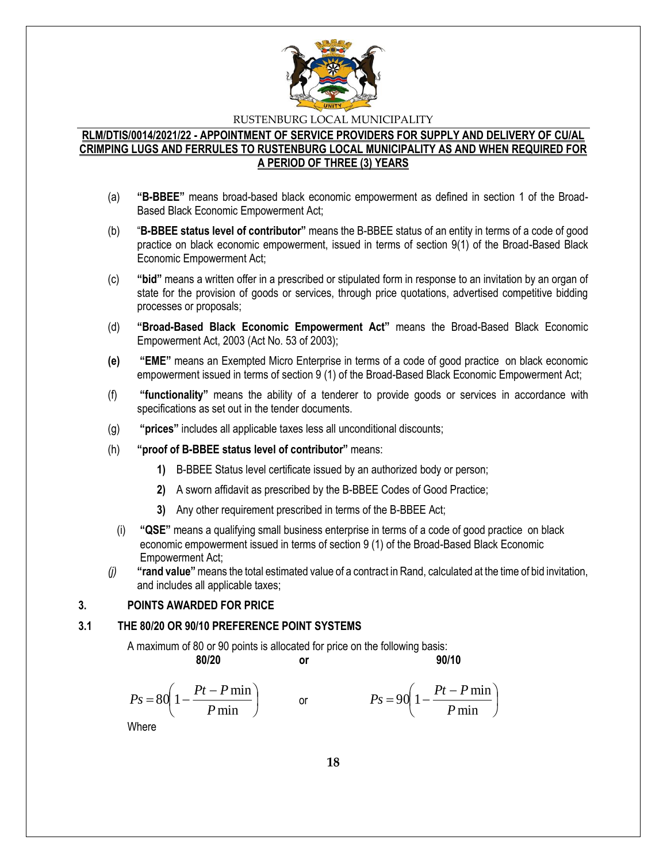

### **RLM/DTIS/0014/2021/22 - APPOINTMENT OF SERVICE PROVIDERS FOR SUPPLY AND DELIVERY OF CU/AL CRIMPING LUGS AND FERRULES TO RUSTENBURG LOCAL MUNICIPALITY AS AND WHEN REQUIRED FOR A PERIOD OF THREE (3) YEARS**

- (a) **"B-BBEE"** means broad-based black economic empowerment as defined in section 1 of the Broad-Based Black Economic Empowerment Act;
- (b) "**B-BBEE status level of contributor"** means the B-BBEE status of an entity in terms of a code of good practice on black economic empowerment, issued in terms of section 9(1) of the Broad-Based Black Economic Empowerment Act;
- (c) **"bid"** means a written offer in a prescribed or stipulated form in response to an invitation by an organ of state for the provision of goods or services, through price quotations, advertised competitive bidding processes or proposals;
- (d) **"Broad-Based Black Economic Empowerment Act"** means the Broad-Based Black Economic Empowerment Act, 2003 (Act No. 53 of 2003);
- **(e) "EME"** means an Exempted Micro Enterprise in terms of a code of good practice on black economic empowerment issued in terms of section 9 (1) of the Broad-Based Black Economic Empowerment Act;
- (f) **"functionality"** means the ability of a tenderer to provide goods or services in accordance with specifications as set out in the tender documents.
- (g) **"prices"** includes all applicable taxes less all unconditional discounts;
- (h) **"proof of B-BBEE status level of contributor"** means:
	- **1)** B-BBEE Status level certificate issued by an authorized body or person;
	- **2)** A sworn affidavit as prescribed by the B-BBEE Codes of Good Practice;
	- **3)** Any other requirement prescribed in terms of the B-BBEE Act;
	- (i) **"QSE"** means a qualifying small business enterprise in terms of a code of good practice on black economic empowerment issued in terms of section 9 (1) of the Broad-Based Black Economic Empowerment Act;
- *(j)* **"rand value"**means the total estimated value of a contract in Rand, calculated at the time of bid invitation, and includes all applicable taxes;

## **3. POINTS AWARDED FOR PRICE**

### **3.1 THE 80/20 OR 90/10 PREFERENCE POINT SYSTEMS**

A maximum of 80 or 90 points is allocated for price on the following basis:

$$
f_{\rm{max}}
$$

**80/20 or 90/10**

$$
Ps = 80\left(1 - \frac{Pt - P\min P}{\min}\right) \qquad \text{or} \qquad \qquad Ps = 90\left(1 - \frac{Pt - P\min P}{\min}\right)
$$

Where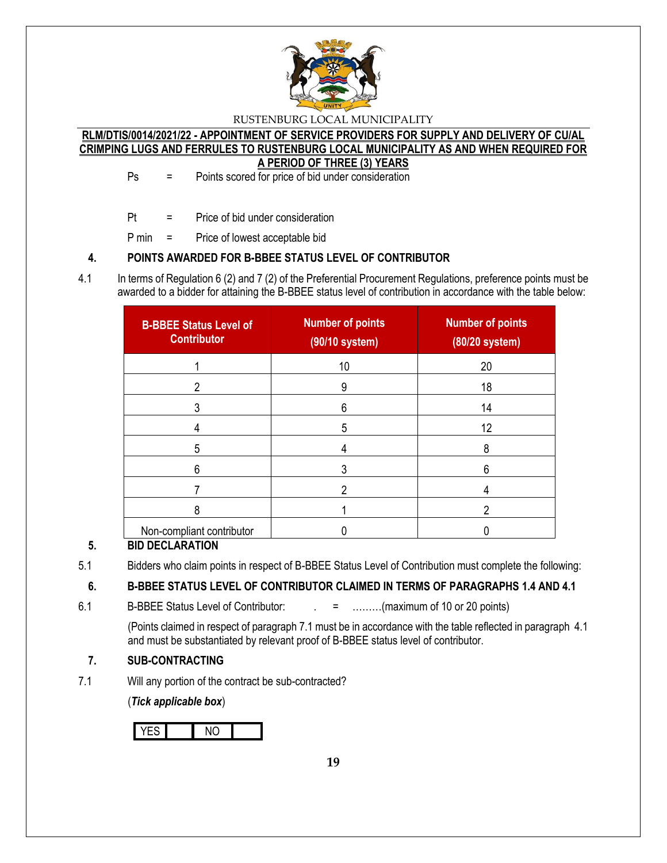

### **RLM/DTIS/0014/2021/22 - APPOINTMENT OF SERVICE PROVIDERS FOR SUPPLY AND DELIVERY OF CU/AL CRIMPING LUGS AND FERRULES TO RUSTENBURG LOCAL MUNICIPALITY AS AND WHEN REQUIRED FOR A PERIOD OF THREE (3) YEARS**

Ps = Points scored for price of bid under consideration

Pt = Price of bid under consideration

P min = Price of lowest acceptable bid

# **4. POINTS AWARDED FOR B-BBEE STATUS LEVEL OF CONTRIBUTOR**

4.1 In terms of Regulation 6 (2) and 7 (2) of the Preferential Procurement Regulations, preference points must be awarded to a bidder for attaining the B-BBEE status level of contribution in accordance with the table below:

| <b>B-BBEE Status Level of</b><br><b>Contributor</b> | <b>Number of points</b><br>(90/10 system) | <b>Number of points</b><br>$(80/20$ system) |
|-----------------------------------------------------|-------------------------------------------|---------------------------------------------|
|                                                     | 10                                        | 20                                          |
|                                                     | 9                                         | 18                                          |
|                                                     | 6                                         | 14                                          |
|                                                     | 5                                         | 12                                          |
| 5                                                   |                                           | 8                                           |
| 6                                                   |                                           | հ                                           |
|                                                     |                                           |                                             |
| 8                                                   |                                           |                                             |
| Non-compliant contributor                           |                                           |                                             |

# **5. BID DECLARATION**

5.1 Bidders who claim points in respect of B-BBEE Status Level of Contribution must complete the following:

# **6. B-BBEE STATUS LEVEL OF CONTRIBUTOR CLAIMED IN TERMS OF PARAGRAPHS 1.4 AND 4.1**

6.1 B-BBEE Status Level of Contributor:  $\qquad \qquad = \qquad \qquad \qquad$  = .........(maximum of 10 or 20 points)

(Points claimed in respect of paragraph 7.1 must be in accordance with the table reflected in paragraph 4.1 and must be substantiated by relevant proof of B-BBEE status level of contributor.

# **7. SUB-CONTRACTING**

7.1 Will any portion of the contract be sub-contracted?

(*Tick applicable box*)

YES NO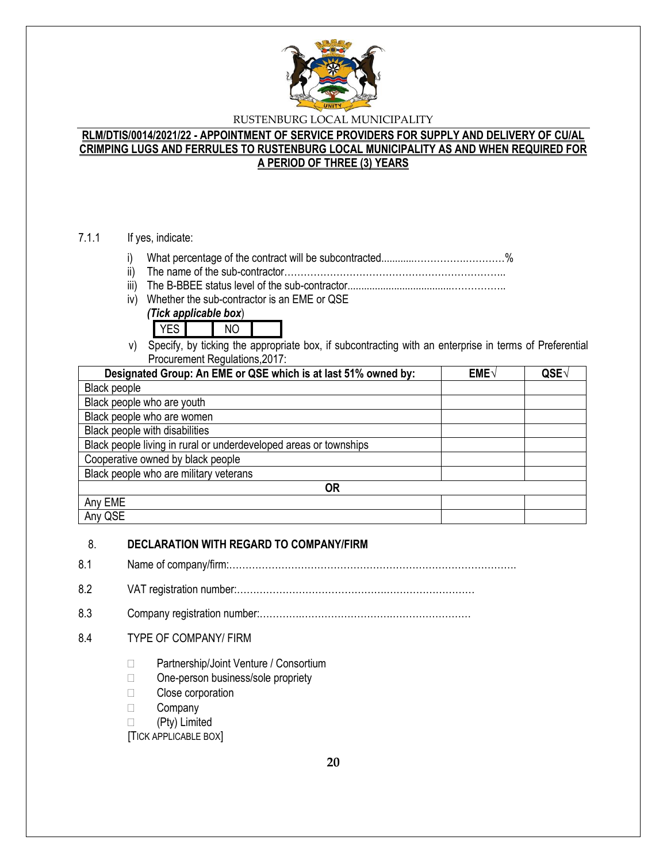

### **RLM/DTIS/0014/2021/22 - APPOINTMENT OF SERVICE PROVIDERS FOR SUPPLY AND DELIVERY OF CU/AL CRIMPING LUGS AND FERRULES TO RUSTENBURG LOCAL MUNICIPALITY AS AND WHEN REQUIRED FOR A PERIOD OF THREE (3) YEARS**

### 7.1.1 If yes, indicate:

- i) What percentage of the contract will be subcontracted............…………….…………%
- ii) The name of the sub-contractor…………………………………………………………..
- iii) The B-BBEE status level of the sub-contractor......................................……………..
- iv) Whether the sub-contractor is an EME or QSE





v) Specify, by ticking the appropriate box, if subcontracting with an enterprise in terms of Preferential Procurement Regulations,2017:

| Designated Group: An EME or QSE which is at last 51% owned by:    | EME√ | QSE |
|-------------------------------------------------------------------|------|-----|
| Black people                                                      |      |     |
| Black people who are youth                                        |      |     |
| Black people who are women                                        |      |     |
| Black people with disabilities                                    |      |     |
| Black people living in rural or underdeveloped areas or townships |      |     |
| Cooperative owned by black people                                 |      |     |
| Black people who are military veterans                            |      |     |
| 0R                                                                |      |     |
| Any EME                                                           |      |     |
| Any QSE                                                           |      |     |

### 8. **DECLARATION WITH REGARD TO COMPANY/FIRM**

8.1 Name of company/firm:…………………………………………………………………………….

8.2 VAT registration number:……………………………………….………………………

8.3 Company registration number:………….……………………….……………………

### 8.4 TYPE OF COMPANY/ FIRM

- □ Partnership/Joint Venture / Consortium
- □ One-person business/sole propriety
- □ Close corporation
- **Company**
- (Pty) Limited

[TICK APPLICABLE BOX]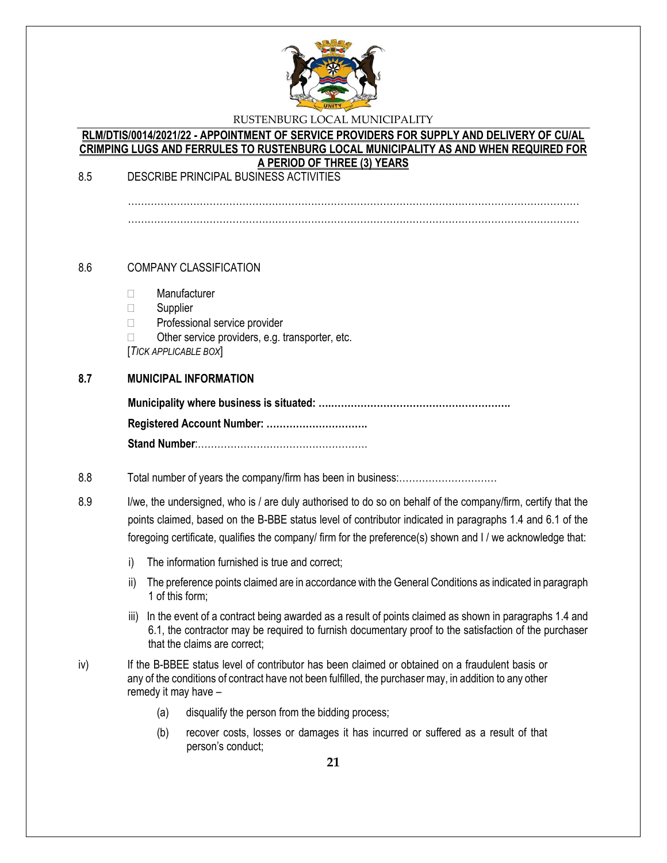

### **RLM/DTIS/0014/2021/22 - APPOINTMENT OF SERVICE PROVIDERS FOR SUPPLY AND DELIVERY OF CU/AL CRIMPING LUGS AND FERRULES TO RUSTENBURG LOCAL MUNICIPALITY AS AND WHEN REQUIRED FOR A PERIOD OF THREE (3) YEARS**

8.5 DESCRIBE PRINCIPAL BUSINESS ACTIVITIES

…………………………………………………………………………………………………………………………

### 8.6 COMPANY CLASSIFICATION

- Manufacturer
- □ Supplier
- □ Professional service provider
- $\Box$  Other service providers, e.g. transporter, etc.

[*TICK APPLICABLE BOX*]

### **8.7 MUNICIPAL INFORMATION**

### 8.8 Total number of years the company/firm has been in business:…………………………

8.9 I/we, the undersigned, who is / are duly authorised to do so on behalf of the company/firm, certify that the points claimed, based on the B-BBE status level of contributor indicated in paragraphs 1.4 and 6.1 of the foregoing certificate, qualifies the company/ firm for the preference(s) shown and I / we acknowledge that:

- i) The information furnished is true and correct;
- ii) The preference points claimed are in accordance with the General Conditions as indicated in paragraph 1 of this form;
- iii) In the event of a contract being awarded as a result of points claimed as shown in paragraphs 1.4 and 6.1, the contractor may be required to furnish documentary proof to the satisfaction of the purchaser that the claims are correct;
- iv) If the B-BBEE status level of contributor has been claimed or obtained on a fraudulent basis or any of the conditions of contract have not been fulfilled, the purchaser may, in addition to any other remedy it may have –
	- (a) disqualify the person from the bidding process;
	- (b) recover costs, losses or damages it has incurred or suffered as a result of that person's conduct;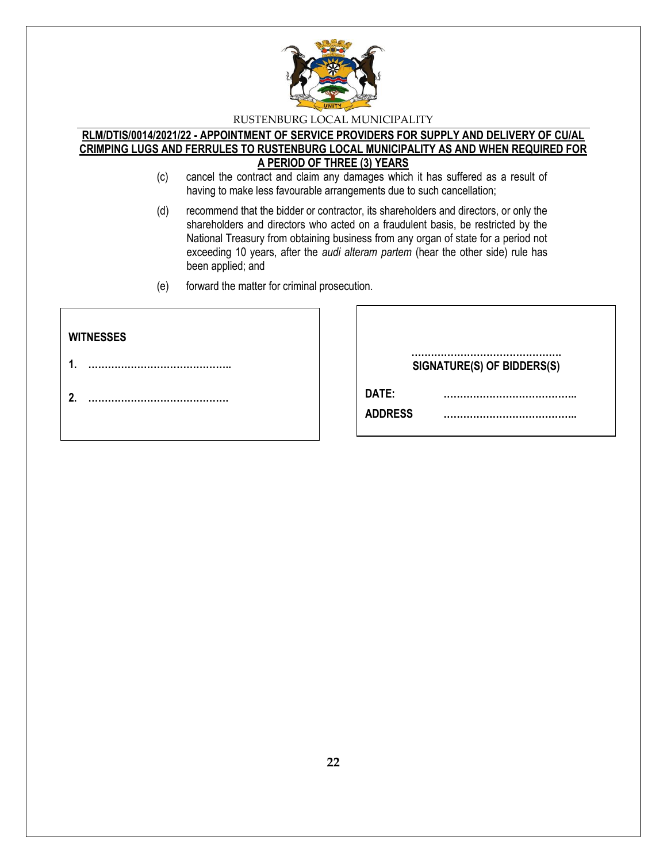

### **RLM/DTIS/0014/2021/22 - APPOINTMENT OF SERVICE PROVIDERS FOR SUPPLY AND DELIVERY OF CU/AL CRIMPING LUGS AND FERRULES TO RUSTENBURG LOCAL MUNICIPALITY AS AND WHEN REQUIRED FOR A PERIOD OF THREE (3) YEARS**

- (c) cancel the contract and claim any damages which it has suffered as a result of having to make less favourable arrangements due to such cancellation;
- (d) recommend that the bidder or contractor, its shareholders and directors, or only the shareholders and directors who acted on a fraudulent basis, be restricted by the National Treasury from obtaining business from any organ of state for a period not exceeding 10 years, after the *audi alteram partem* (hear the other side) rule has been applied; and
- (e) forward the matter for criminal prosecution.

| <b>WITNESSES</b> |                            |
|------------------|----------------------------|
| 4                | SIGNATURE(S) OF BIDDERS(S) |
| 2.               | DATE:                      |
|                  | <b>ADDRESS</b>             |
|                  |                            |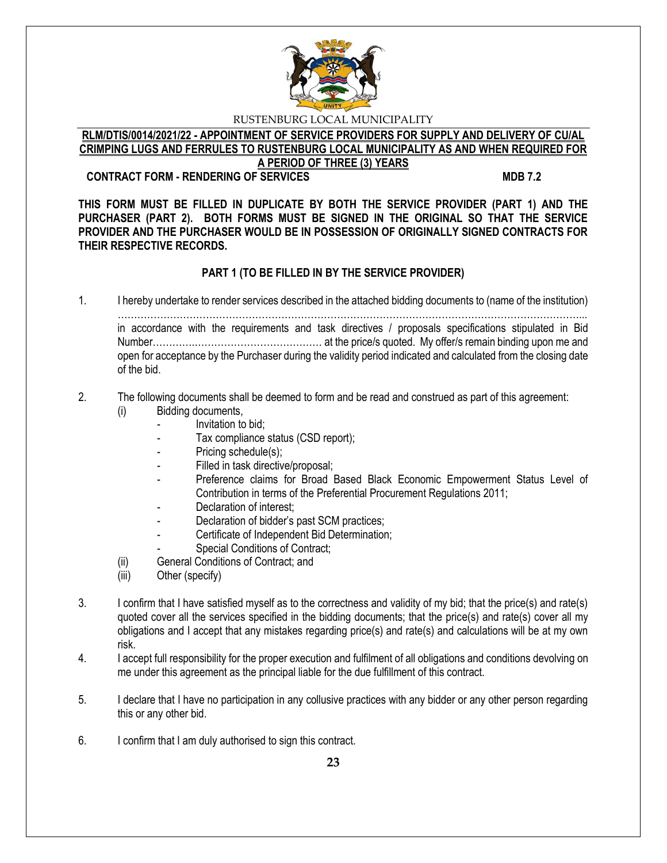

#### **RLM/DTIS/0014/2021/22 - APPOINTMENT OF SERVICE PROVIDERS FOR SUPPLY AND DELIVERY OF CU/AL CRIMPING LUGS AND FERRULES TO RUSTENBURG LOCAL MUNICIPALITY AS AND WHEN REQUIRED FOR A PERIOD OF THREE (3) YEARS**

### **CONTRACT FORM - RENDERING OF SERVICES MDB 7.2**

**THIS FORM MUST BE FILLED IN DUPLICATE BY BOTH THE SERVICE PROVIDER (PART 1) AND THE PURCHASER (PART 2). BOTH FORMS MUST BE SIGNED IN THE ORIGINAL SO THAT THE SERVICE PROVIDER AND THE PURCHASER WOULD BE IN POSSESSION OF ORIGINALLY SIGNED CONTRACTS FOR THEIR RESPECTIVE RECORDS.**

# **PART 1 (TO BE FILLED IN BY THE SERVICE PROVIDER)**

1. I hereby undertake to render services described in the attached bidding documents to (name of the institution) ……………………………………………………………………………………………………………………………... in accordance with the requirements and task directives / proposals specifications stipulated in Bid Number………….………………………………… at the price/s quoted. My offer/s remain binding upon me and open for acceptance by the Purchaser during the validity period indicated and calculated from the closing date of the bid.

#### 2. The following documents shall be deemed to form and be read and construed as part of this agreement: (i) Bidding documents,

- *-* Invitation to bid;
- Tax compliance status (CSD report);
- Pricing schedule(s);
- Filled in task directive/proposal;
- Preference claims for Broad Based Black Economic Empowerment Status Level of Contribution in terms of the Preferential Procurement Regulations 2011;
- *-* Declaration of interest;
- *-* Declaration of bidder's past SCM practices;
- *-* Certificate of Independent Bid Determination;
- **Special Conditions of Contract;**
- (ii) General Conditions of Contract; and
- (iii) Other (specify)
- 3. I confirm that I have satisfied myself as to the correctness and validity of my bid; that the price(s) and rate(s) quoted cover all the services specified in the bidding documents; that the price(s) and rate(s) cover all my obligations and I accept that any mistakes regarding price(s) and rate(s) and calculations will be at my own risk.
- 4. I accept full responsibility for the proper execution and fulfilment of all obligations and conditions devolving on me under this agreement as the principal liable for the due fulfillment of this contract.
- 5. I declare that I have no participation in any collusive practices with any bidder or any other person regarding this or any other bid.
- 6. I confirm that I am duly authorised to sign this contract.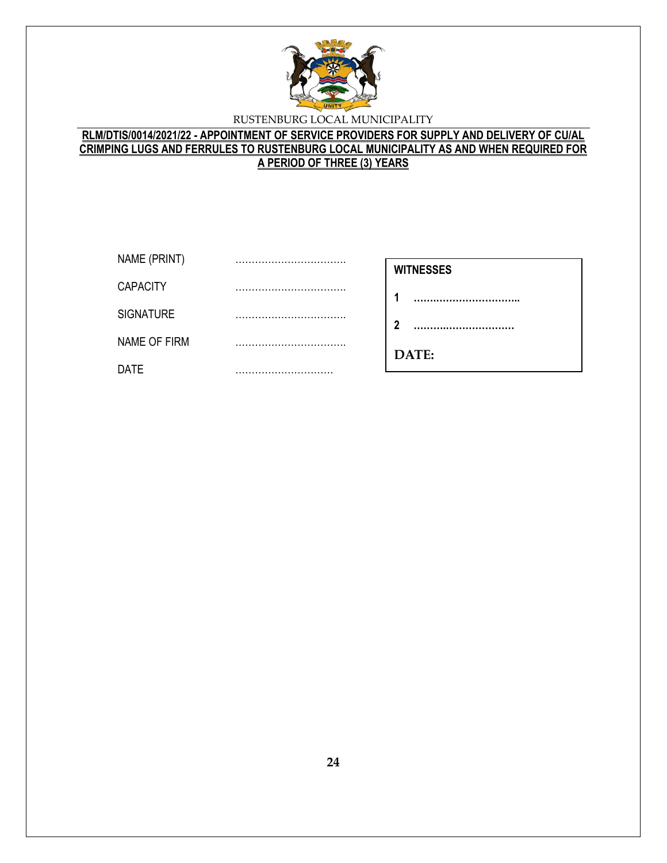

# **RLM/DTIS/0014/2021/22 - APPOINTMENT OF SERVICE PROVIDERS FOR SUPPLY AND DELIVERY OF CU/AL CRIMPING LUGS AND FERRULES TO RUSTENBURG LOCAL MUNICIPALITY AS AND WHEN REQUIRED FOR A PERIOD OF THREE (3) YEARS**

| NAME (PRINT)     | <br><b>WITNESSES</b> |
|------------------|----------------------|
| <b>CAPACITY</b>  |                      |
| <b>SIGNATURE</b> | <br>າ                |
| NAME OF FIRM     |                      |
| <b>DATE</b>      | <br>DATE:            |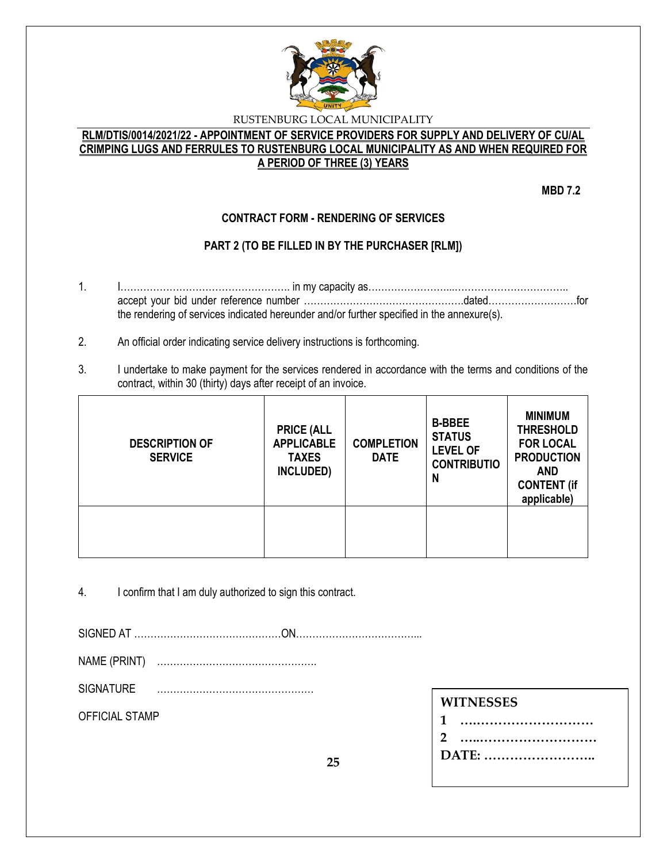

# **RLM/DTIS/0014/2021/22 - APPOINTMENT OF SERVICE PROVIDERS FOR SUPPLY AND DELIVERY OF CU/AL CRIMPING LUGS AND FERRULES TO RUSTENBURG LOCAL MUNICIPALITY AS AND WHEN REQUIRED FOR A PERIOD OF THREE (3) YEARS**

**MBD 7.2**

# **CONTRACT FORM - RENDERING OF SERVICES**

# **PART 2 (TO BE FILLED IN BY THE PURCHASER [RLM])**

- 1. I……………………………………………. in my capacity as……………………...…………………………….. accept your bid under reference number ………………………………………….dated………………………for the rendering of services indicated hereunder and/or further specified in the annexure(s).
- 2. An official order indicating service delivery instructions is forthcoming.
- 3. I undertake to make payment for the services rendered in accordance with the terms and conditions of the contract, within 30 (thirty) days after receipt of an invoice.

| <b>DESCRIPTION OF</b><br><b>SERVICE</b> | <b>PRICE (ALL</b><br><b>APPLICABLE</b><br><b>TAXES</b><br>INCLUDED) | <b>COMPLETION</b><br><b>DATE</b> | <b>B-BBEE</b><br><b>STATUS</b><br><b>LEVEL OF</b><br><b>CONTRIBUTIO</b><br>N | <b>MINIMUM</b><br><b>THRESHOLD</b><br><b>FOR LOCAL</b><br><b>PRODUCTION</b><br><b>AND</b><br><b>CONTENT (if</b><br>applicable) |
|-----------------------------------------|---------------------------------------------------------------------|----------------------------------|------------------------------------------------------------------------------|--------------------------------------------------------------------------------------------------------------------------------|
|                                         |                                                                     |                                  |                                                                              |                                                                                                                                |

4. I confirm that I am duly authorized to sign this contract.

SIGNED AT ………………………………………ON………………………………...

NAME (PRINT) ………………………………………….

SIGNATURE …………………………………………

OFFICIAL STAMP

| <b>WITNESSES</b> |
|------------------|
|------------------|

| 1     |
|-------|
|       |
| DATE: |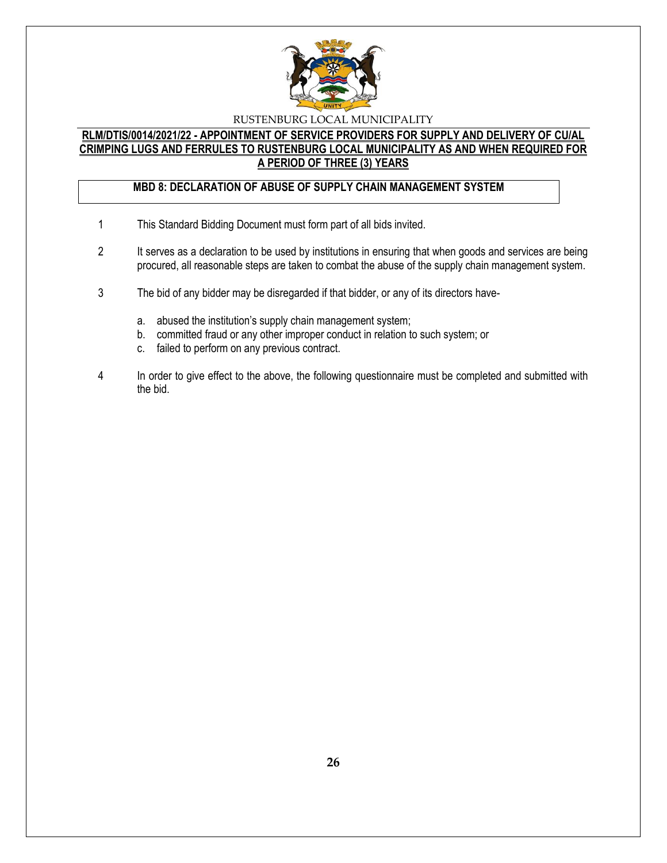

### **RLM/DTIS/0014/2021/22 - APPOINTMENT OF SERVICE PROVIDERS FOR SUPPLY AND DELIVERY OF CU/AL CRIMPING LUGS AND FERRULES TO RUSTENBURG LOCAL MUNICIPALITY AS AND WHEN REQUIRED FOR A PERIOD OF THREE (3) YEARS**

# **MBD 8: DECLARATION OF ABUSE OF SUPPLY CHAIN MANAGEMENT SYSTEM**

- 1 This Standard Bidding Document must form part of all bids invited.
- 2 It serves as a declaration to be used by institutions in ensuring that when goods and services are being procured, all reasonable steps are taken to combat the abuse of the supply chain management system.
- 3 The bid of any bidder may be disregarded if that bidder, or any of its directors have
	- a. abused the institution's supply chain management system;
	- b. committed fraud or any other improper conduct in relation to such system; or
	- c. failed to perform on any previous contract.
- 4 In order to give effect to the above, the following questionnaire must be completed and submitted with the bid.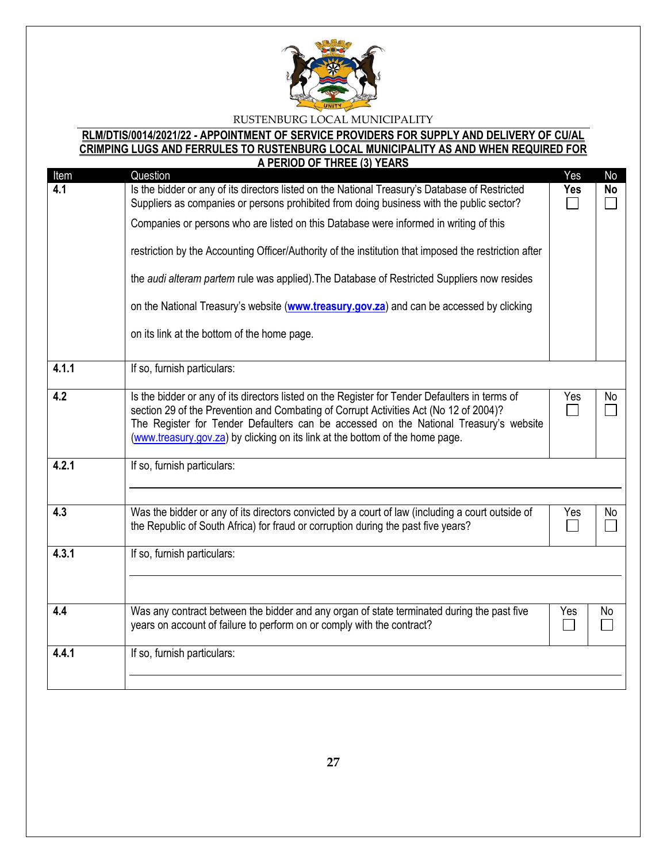

# **RLM/DTIS/0014/2021/22 - APPOINTMENT OF SERVICE PROVIDERS FOR SUPPLY AND DELIVERY OF CU/AL CRIMPING LUGS AND FERRULES TO RUSTENBURG LOCAL MUNICIPALITY AS AND WHEN REQUIRED FOR**

|                                      | A PERIOD OF THREE (3) YEARS                                                                                                                                                                                                                                                                                                                                                                                                                                                                                                                                                                                                                        |                                    |                 |
|--------------------------------------|----------------------------------------------------------------------------------------------------------------------------------------------------------------------------------------------------------------------------------------------------------------------------------------------------------------------------------------------------------------------------------------------------------------------------------------------------------------------------------------------------------------------------------------------------------------------------------------------------------------------------------------------------|------------------------------------|-----------------|
| Item<br>4.1                          | Question<br>Is the bidder or any of its directors listed on the National Treasury's Database of Restricted<br>Suppliers as companies or persons prohibited from doing business with the public sector?<br>Companies or persons who are listed on this Database were informed in writing of this<br>restriction by the Accounting Officer/Authority of the institution that imposed the restriction after<br>the audi alteram partem rule was applied). The Database of Restricted Suppliers now resides<br>on the National Treasury's website (www.treasury.gov.za) and can be accessed by clicking<br>on its link at the bottom of the home page. | Yes<br><b>Yes</b><br>$\sim$        | No<br><b>No</b> |
|                                      |                                                                                                                                                                                                                                                                                                                                                                                                                                                                                                                                                                                                                                                    |                                    |                 |
| 4.1.1                                | If so, furnish particulars:                                                                                                                                                                                                                                                                                                                                                                                                                                                                                                                                                                                                                        |                                    |                 |
| 4.2                                  | Is the bidder or any of its directors listed on the Register for Tender Defaulters in terms of<br>section 29 of the Prevention and Combating of Corrupt Activities Act (No 12 of 2004)?<br>The Register for Tender Defaulters can be accessed on the National Treasury's website<br>(www.treasury.gov.za) by clicking on its link at the bottom of the home page.                                                                                                                                                                                                                                                                                  | Yes<br>$\Box$                      | No              |
| 4.2.1                                | If so, furnish particulars:                                                                                                                                                                                                                                                                                                                                                                                                                                                                                                                                                                                                                        |                                    |                 |
| 4.3                                  | Was the bidder or any of its directors convicted by a court of law (including a court outside of<br>the Republic of South Africa) for fraud or corruption during the past five years?                                                                                                                                                                                                                                                                                                                                                                                                                                                              | Yes<br>$\mathcal{L}_{\mathcal{A}}$ | No              |
| 4.3.1<br>If so, furnish particulars: |                                                                                                                                                                                                                                                                                                                                                                                                                                                                                                                                                                                                                                                    |                                    |                 |
|                                      |                                                                                                                                                                                                                                                                                                                                                                                                                                                                                                                                                                                                                                                    |                                    |                 |
| 4.4                                  | Was any contract between the bidder and any organ of state terminated during the past five<br>years on account of failure to perform on or comply with the contract?                                                                                                                                                                                                                                                                                                                                                                                                                                                                               | Yes                                | No              |
| 4.4.1<br>If so, furnish particulars: |                                                                                                                                                                                                                                                                                                                                                                                                                                                                                                                                                                                                                                                    |                                    |                 |
|                                      |                                                                                                                                                                                                                                                                                                                                                                                                                                                                                                                                                                                                                                                    |                                    |                 |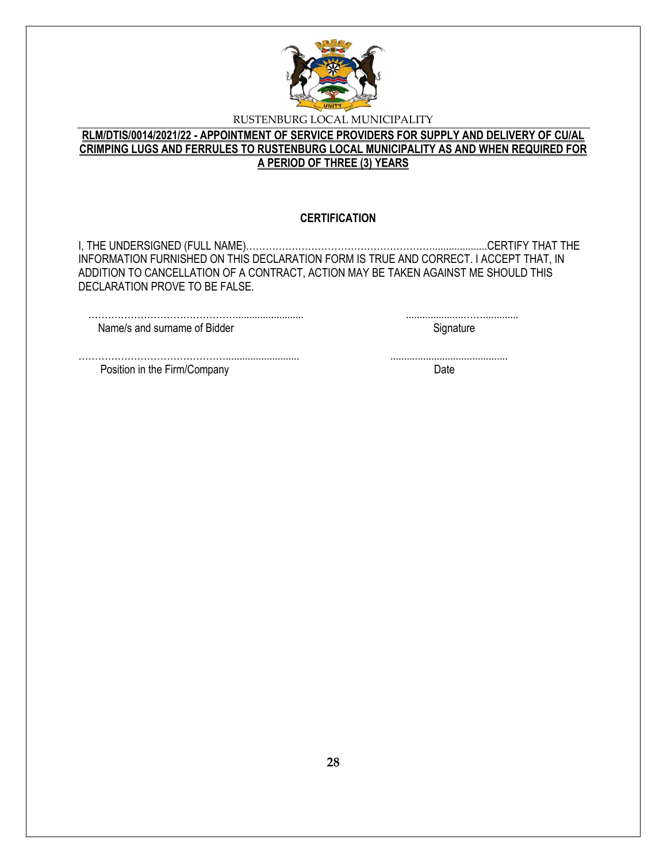

# **RLM/DTIS/0014/2021/22 - APPOINTMENT OF SERVICE PROVIDERS FOR SUPPLY AND DELIVERY OF CU/AL CRIMPING LUGS AND FERRULES TO RUSTENBURG LOCAL MUNICIPALITY AS AND WHEN REQUIRED FOR A PERIOD OF THREE (3) YEARS**

### **CERTIFICATION**

I, THE UNDERSIGNED (FULL NAME)…………………………………………………....................CERTIFY THAT THE INFORMATION FURNISHED ON THIS DECLARATION FORM IS TRUE AND CORRECT. I ACCEPT THAT, IN ADDITION TO CANCELLATION OF A CONTRACT, ACTION MAY BE TAKEN AGAINST ME SHOULD THIS DECLARATION PROVE TO BE FALSE.

………………………………………........................... ...........................................

………………………………………......................... .....................……............. Name/s and surname of Bidder Signature Signature

Position in the Firm/Company Date Date Date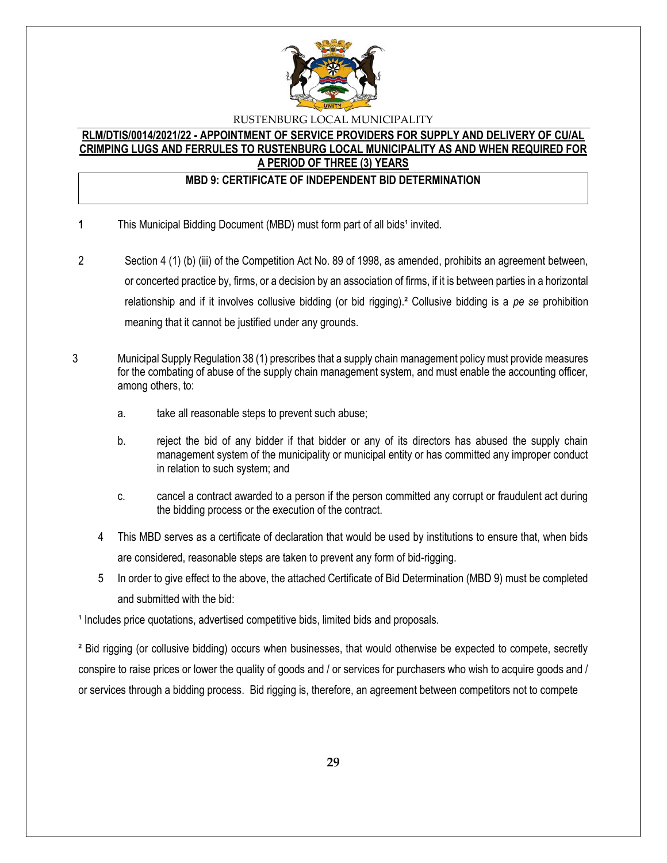

### **RLM/DTIS/0014/2021/22 - APPOINTMENT OF SERVICE PROVIDERS FOR SUPPLY AND DELIVERY OF CU/AL CRIMPING LUGS AND FERRULES TO RUSTENBURG LOCAL MUNICIPALITY AS AND WHEN REQUIRED FOR A PERIOD OF THREE (3) YEARS**

### **MBD 9: CERTIFICATE OF INDEPENDENT BID DETERMINATION**

- **1** This Municipal Bidding Document (MBD) must form part of all bids<sup>1</sup> invited.
- 2 Section 4 (1) (b) (iii) of the Competition Act No. 89 of 1998, as amended, prohibits an agreement between, or concerted practice by, firms, or a decision by an association of firms, if it is between parties in a horizontal relationship and if it involves collusive bidding (or bid rigging).² Collusive bidding is a *pe se* prohibition meaning that it cannot be justified under any grounds.
- 3 Municipal Supply Regulation 38 (1) prescribes that a supply chain management policy must provide measures for the combating of abuse of the supply chain management system, and must enable the accounting officer, among others, to:
	- a. take all reasonable steps to prevent such abuse;
	- b. reject the bid of any bidder if that bidder or any of its directors has abused the supply chain management system of the municipality or municipal entity or has committed any improper conduct in relation to such system; and
	- c. cancel a contract awarded to a person if the person committed any corrupt or fraudulent act during the bidding process or the execution of the contract.
	- 4 This MBD serves as a certificate of declaration that would be used by institutions to ensure that, when bids are considered, reasonable steps are taken to prevent any form of bid-rigging.
	- 5 In order to give effect to the above, the attached Certificate of Bid Determination (MBD 9) must be completed and submitted with the bid:

<sup>1</sup> Includes price quotations, advertised competitive bids, limited bids and proposals.

² Bid rigging (or collusive bidding) occurs when businesses, that would otherwise be expected to compete, secretly conspire to raise prices or lower the quality of goods and / or services for purchasers who wish to acquire goods and / or services through a bidding process. Bid rigging is, therefore, an agreement between competitors not to compete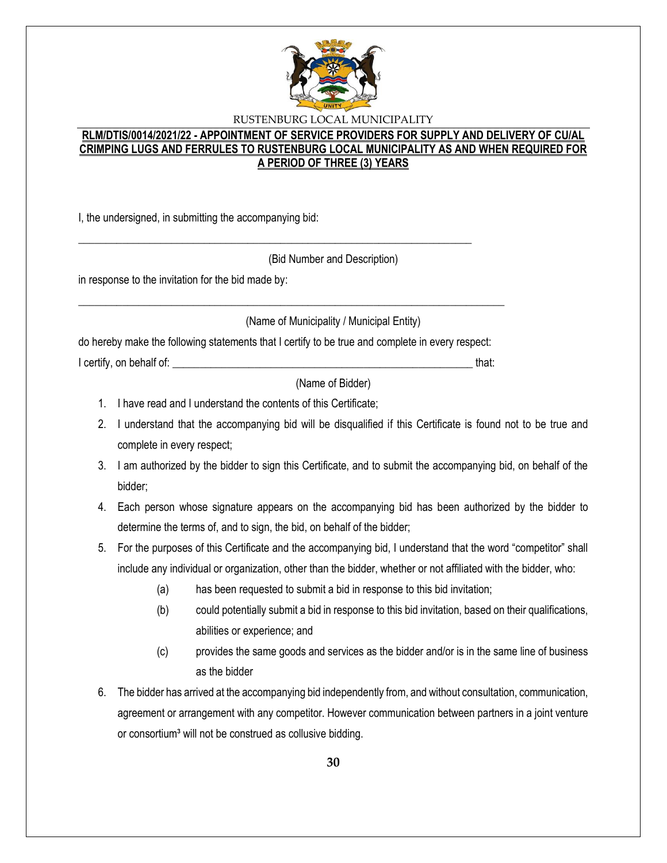

### **RLM/DTIS/0014/2021/22 - APPOINTMENT OF SERVICE PROVIDERS FOR SUPPLY AND DELIVERY OF CU/AL CRIMPING LUGS AND FERRULES TO RUSTENBURG LOCAL MUNICIPALITY AS AND WHEN REQUIRED FOR A PERIOD OF THREE (3) YEARS**

I, the undersigned, in submitting the accompanying bid:

(Bid Number and Description)

in response to the invitation for the bid made by:

(Name of Municipality / Municipal Entity)

do hereby make the following statements that I certify to be true and complete in every respect:

\_\_\_\_\_\_\_\_\_\_\_\_\_\_\_\_\_\_\_\_\_\_\_\_\_\_\_\_\_\_\_\_\_\_\_\_\_\_\_\_\_\_\_\_\_\_\_\_\_\_\_\_\_\_\_\_\_\_\_\_\_\_\_\_\_\_\_\_\_\_\_\_\_\_\_\_\_\_

\_\_\_\_\_\_\_\_\_\_\_\_\_\_\_\_\_\_\_\_\_\_\_\_\_\_\_\_\_\_\_\_\_\_\_\_\_\_\_\_\_\_\_\_\_\_\_\_\_\_\_\_\_\_\_\_\_\_\_\_\_\_\_\_\_\_\_\_\_\_\_\_

I certify, on behalf of: \_\_\_\_\_\_\_\_\_\_\_\_\_\_\_\_\_\_\_\_\_\_\_\_\_\_\_\_\_\_\_\_\_\_\_\_\_\_\_\_\_\_\_\_\_\_\_\_\_\_\_\_\_\_\_ that:

(Name of Bidder)

- 1. I have read and I understand the contents of this Certificate;
- 2. I understand that the accompanying bid will be disqualified if this Certificate is found not to be true and complete in every respect;
- 3. I am authorized by the bidder to sign this Certificate, and to submit the accompanying bid, on behalf of the bidder;
- 4. Each person whose signature appears on the accompanying bid has been authorized by the bidder to determine the terms of, and to sign, the bid, on behalf of the bidder;
- 5. For the purposes of this Certificate and the accompanying bid, I understand that the word "competitor" shall include any individual or organization, other than the bidder, whether or not affiliated with the bidder, who:
	- (a) has been requested to submit a bid in response to this bid invitation;
	- (b) could potentially submit a bid in response to this bid invitation, based on their qualifications, abilities or experience; and
	- (c) provides the same goods and services as the bidder and/or is in the same line of business as the bidder
- 6. The bidder has arrived at the accompanying bid independently from, and without consultation, communication, agreement or arrangement with any competitor. However communication between partners in a joint venture or consortium<sup>3</sup> will not be construed as collusive bidding.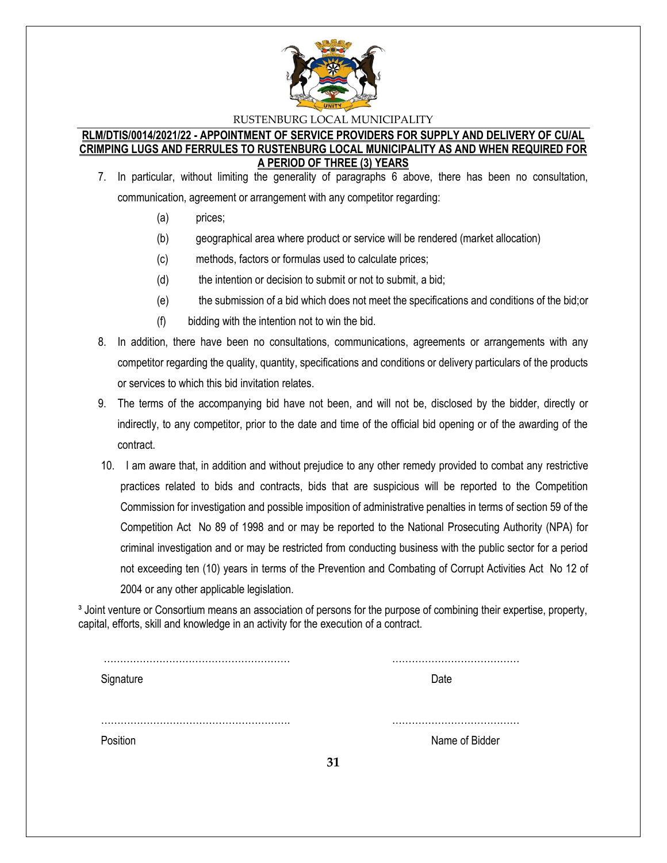

#### **RLM/DTIS/0014/2021/22 - APPOINTMENT OF SERVICE PROVIDERS FOR SUPPLY AND DELIVERY OF CU/AL CRIMPING LUGS AND FERRULES TO RUSTENBURG LOCAL MUNICIPALITY AS AND WHEN REQUIRED FOR A PERIOD OF THREE (3) YEARS**

- 7. In particular, without limiting the generality of paragraphs 6 above, there has been no consultation, communication, agreement or arrangement with any competitor regarding:
	- (a) prices;
	- (b) geographical area where product or service will be rendered (market allocation)
	- (c) methods, factors or formulas used to calculate prices;
	- (d) the intention or decision to submit or not to submit, a bid;
	- (e) the submission of a bid which does not meet the specifications and conditions of the bid;or
	- (f) bidding with the intention not to win the bid.
- 8. In addition, there have been no consultations, communications, agreements or arrangements with any competitor regarding the quality, quantity, specifications and conditions or delivery particulars of the products or services to which this bid invitation relates.
- 9. The terms of the accompanying bid have not been, and will not be, disclosed by the bidder, directly or indirectly, to any competitor, prior to the date and time of the official bid opening or of the awarding of the contract.
- 10. I am aware that, in addition and without prejudice to any other remedy provided to combat any restrictive practices related to bids and contracts, bids that are suspicious will be reported to the Competition Commission for investigation and possible imposition of administrative penalties in terms of section 59 of the Competition Act No 89 of 1998 and or may be reported to the National Prosecuting Authority (NPA) for criminal investigation and or may be restricted from conducting business with the public sector for a period not exceeding ten (10) years in terms of the Prevention and Combating of Corrupt Activities Act No 12 of 2004 or any other applicable legislation.

<sup>3</sup> Joint venture or Consortium means an association of persons for the purpose of combining their expertise, property, capital, efforts, skill and knowledge in an activity for the execution of a contract.

| Signature |    | Date           |
|-----------|----|----------------|
| Position  | 31 | Name of Bidder |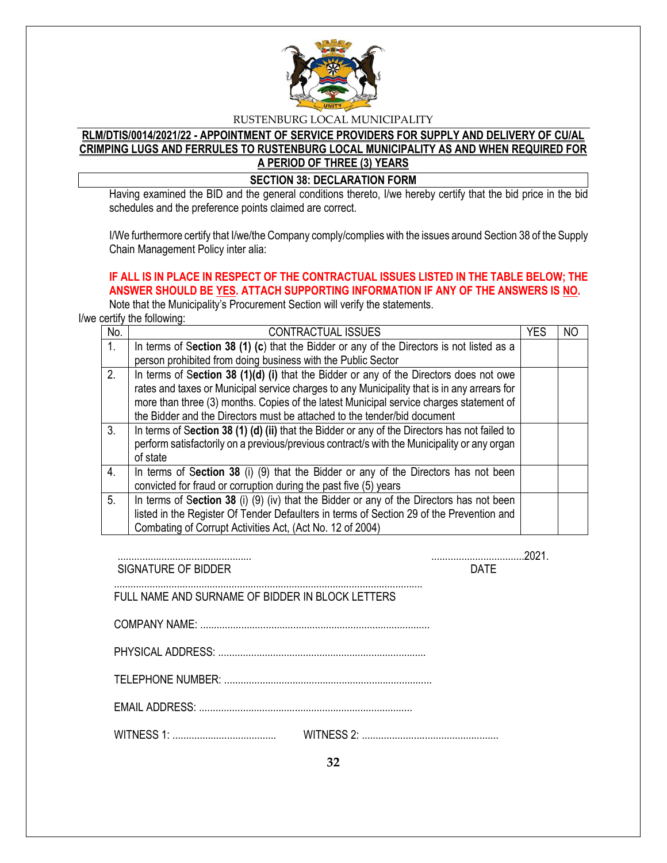

# **RLM/DTIS/0014/2021/22 - APPOINTMENT OF SERVICE PROVIDERS FOR SUPPLY AND DELIVERY OF CU/AL CRIMPING LUGS AND FERRULES TO RUSTENBURG LOCAL MUNICIPALITY AS AND WHEN REQUIRED FOR A PERIOD OF THREE (3) YEARS**

### **SECTION 38: DECLARATION FORM**

Having examined the BID and the general conditions thereto, I/we hereby certify that the bid price in the bid schedules and the preference points claimed are correct.

I/We furthermore certify that I/we/the Company comply/complies with the issues around Section 38 of the Supply Chain Management Policy inter alia:

# **IF ALL IS IN PLACE IN RESPECT OF THE CONTRACTUAL ISSUES LISTED IN THE TABLE BELOW; THE ANSWER SHOULD BE YES. ATTACH SUPPORTING INFORMATION IF ANY OF THE ANSWERS IS NO.**

Note that the Municipality's Procurement Section will verify the statements.

I/we certify the following:

| No.            | <b>CONTRACTUAL ISSUES</b>                                                                     | <b>YES</b> | ΝO |
|----------------|-----------------------------------------------------------------------------------------------|------------|----|
| $\mathbf{1}$ . | In terms of Section 38 (1) (c) that the Bidder or any of the Directors is not listed as a     |            |    |
|                | person prohibited from doing business with the Public Sector                                  |            |    |
| 2.             | In terms of Section 38 (1)(d) (i) that the Bidder or any of the Directors does not owe        |            |    |
|                | rates and taxes or Municipal service charges to any Municipality that is in any arrears for   |            |    |
|                | more than three (3) months. Copies of the latest Municipal service charges statement of       |            |    |
|                | the Bidder and the Directors must be attached to the tender/bid document                      |            |    |
| 3.             | In terms of Section 38 (1) (d) (ii) that the Bidder or any of the Directors has not failed to |            |    |
|                | perform satisfactorily on a previous/previous contract/s with the Municipality or any organ   |            |    |
|                | of state                                                                                      |            |    |
| 4.             | In terms of Section 38 (i) (9) that the Bidder or any of the Directors has not been           |            |    |
|                | convicted for fraud or corruption during the past five (5) years                              |            |    |
| 5.             | In terms of Section 38 (i) (9) (iv) that the Bidder or any of the Directors has not been      |            |    |
|                | listed in the Register Of Tender Defaulters in terms of Section 29 of the Prevention and      |            |    |
|                | Combating of Corrupt Activities Act, (Act No. 12 of 2004)                                     |            |    |

| SIGNATURE OF BIDDER                              | <b>DATF</b> |
|--------------------------------------------------|-------------|
| FULL NAME AND SURNAME OF BIDDER IN BLOCK LETTERS |             |
|                                                  |             |
|                                                  |             |
|                                                  |             |
|                                                  |             |
|                                                  |             |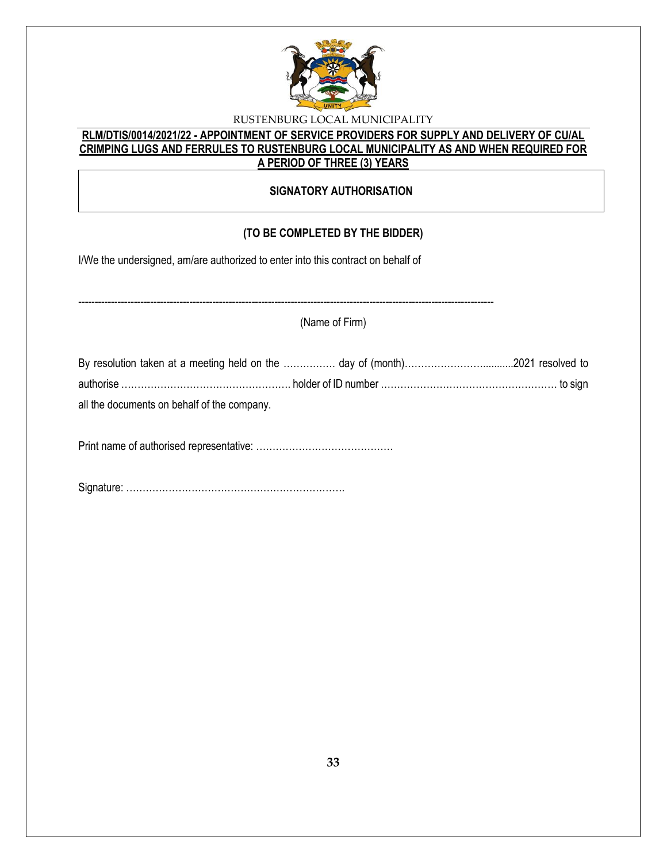

### **RLM/DTIS/0014/2021/22 - APPOINTMENT OF SERVICE PROVIDERS FOR SUPPLY AND DELIVERY OF CU/AL CRIMPING LUGS AND FERRULES TO RUSTENBURG LOCAL MUNICIPALITY AS AND WHEN REQUIRED FOR A PERIOD OF THREE (3) YEARS**

### **SIGNATORY AUTHORISATION**

# **(TO BE COMPLETED BY THE BIDDER)**

I/We the undersigned, am/are authorized to enter into this contract on behalf of

------------------------------------------------------------------------------------------------------------------------------- (Name of Firm) By resolution taken at a meeting held on the ……………. day of (month)……………………...........2021 resolved to authorise ……………………………………………. holder of ID number ……………………………………………… to sign all the documents on behalf of the company. Print name of authorised representative: ……………………………………

Signature: ………………………………………………………….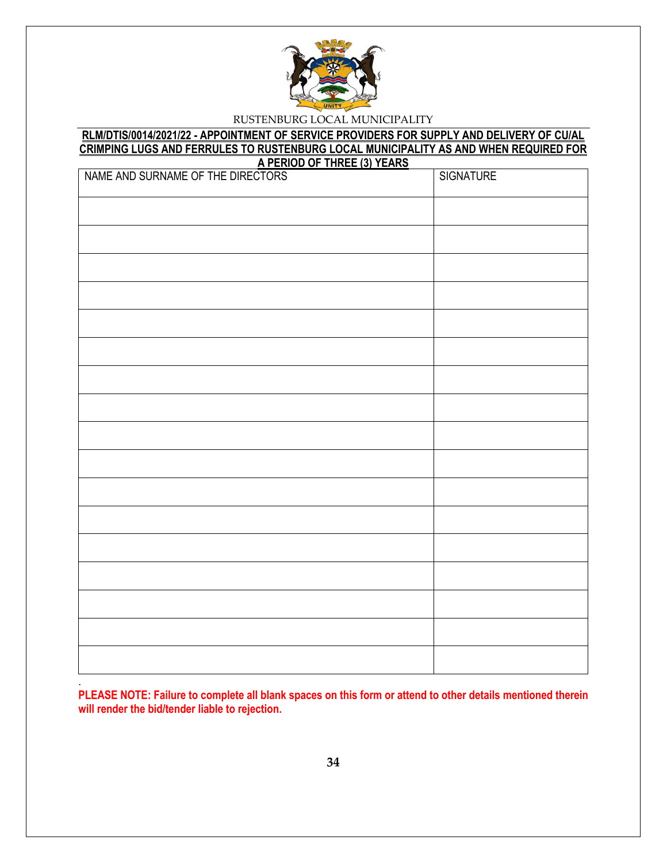

#### **RLM/DTIS/0014/2021/22 - APPOINTMENT OF SERVICE PROVIDERS FOR SUPPLY AND DELIVERY OF CU/AL CRIMPING LUGS AND FERRULES TO RUSTENBURG LOCAL MUNICIPALITY AS AND WHEN REQUIRED FOR A PERIOD OF THREE (3) YEARS**

| NAME AND SURNAME OF THE DIRECTORS<br><u>י בחופ</u> | <b>SIGNATURE</b> |
|----------------------------------------------------|------------------|
|                                                    |                  |
|                                                    |                  |
|                                                    |                  |
|                                                    |                  |
|                                                    |                  |
|                                                    |                  |
|                                                    |                  |
|                                                    |                  |
|                                                    |                  |
|                                                    |                  |
|                                                    |                  |
|                                                    |                  |
|                                                    |                  |
|                                                    |                  |
|                                                    |                  |
|                                                    |                  |
|                                                    |                  |

**PLEASE NOTE: Failure to complete all blank spaces on this form or attend to other details mentioned therein will render the bid/tender liable to rejection.** 

.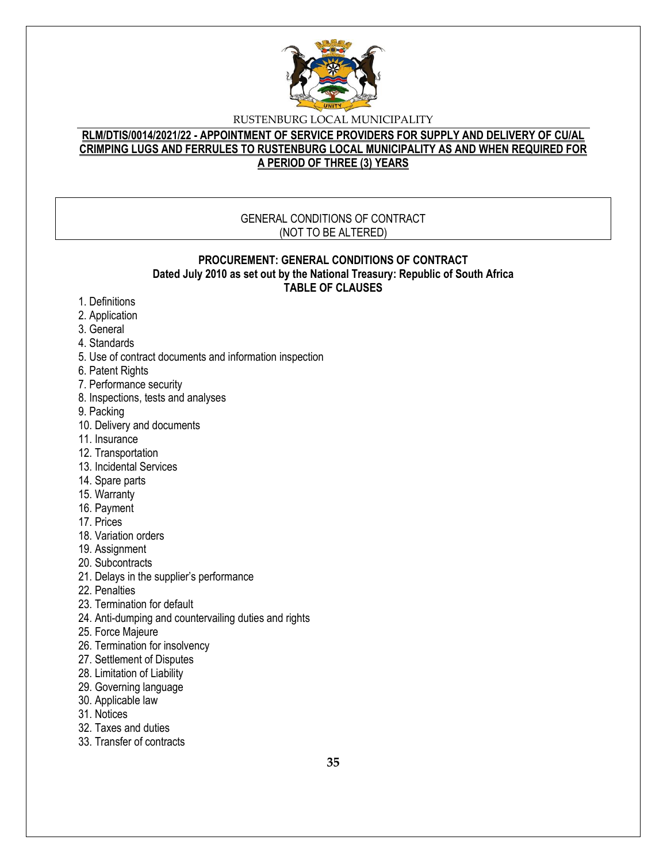

## **RLM/DTIS/0014/2021/22 - APPOINTMENT OF SERVICE PROVIDERS FOR SUPPLY AND DELIVERY OF CU/AL CRIMPING LUGS AND FERRULES TO RUSTENBURG LOCAL MUNICIPALITY AS AND WHEN REQUIRED FOR A PERIOD OF THREE (3) YEARS**

### GENERAL CONDITIONS OF CONTRACT (NOT TO BE ALTERED)

### **PROCUREMENT: GENERAL CONDITIONS OF CONTRACT Dated July 2010 as set out by the National Treasury: Republic of South Africa TABLE OF CLAUSES**

- 1. Definitions
- 2. Application
- 3. General
- 4. Standards
- 5. Use of contract documents and information inspection
- 6. Patent Rights
- 7. Performance security
- 8. Inspections, tests and analyses
- 9. Packing
- 10. Delivery and documents
- 11. Insurance
- 12. Transportation
- 13. Incidental Services
- 14. Spare parts
- 15. Warranty
- 16. Payment
- 17. Prices
- 18. Variation orders
- 19. Assignment
- 20. Subcontracts
- 21. Delays in the supplier's performance
- 22. Penalties
- 23. Termination for default
- 24. Anti-dumping and countervailing duties and rights
- 25. Force Majeure
- 26. Termination for insolvency
- 27. Settlement of Disputes
- 28. Limitation of Liability
- 29. Governing language
- 30. Applicable law
- 31. Notices
- 32. Taxes and duties
- 33. Transfer of contracts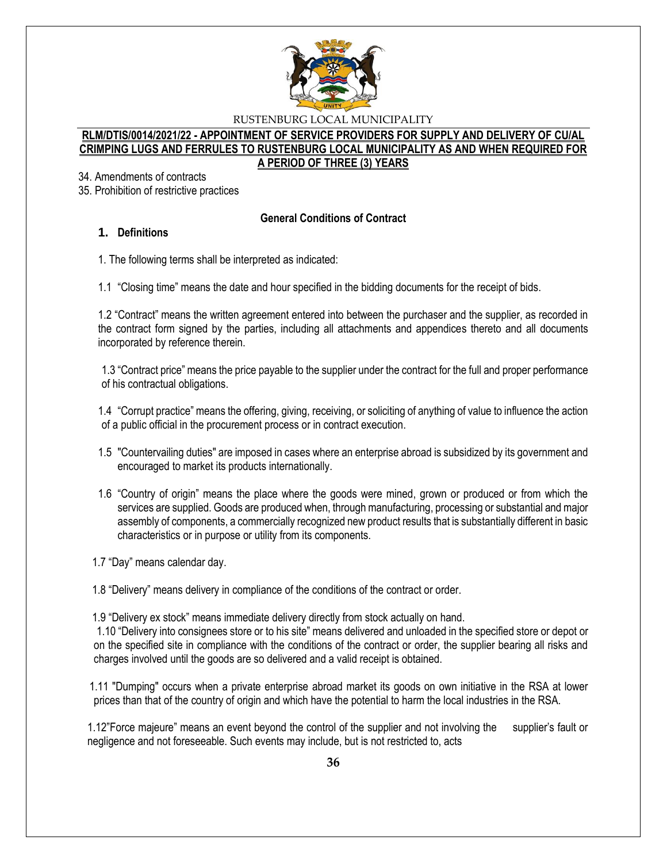

### **RLM/DTIS/0014/2021/22 - APPOINTMENT OF SERVICE PROVIDERS FOR SUPPLY AND DELIVERY OF CU/AL CRIMPING LUGS AND FERRULES TO RUSTENBURG LOCAL MUNICIPALITY AS AND WHEN REQUIRED FOR A PERIOD OF THREE (3) YEARS**

34. Amendments of contracts

35. Prohibition of restrictive practices

### **General Conditions of Contract**

### **1. Definitions**

1. The following terms shall be interpreted as indicated:

1.1 "Closing time" means the date and hour specified in the bidding documents for the receipt of bids.

1.2 "Contract" means the written agreement entered into between the purchaser and the supplier, as recorded in the contract form signed by the parties, including all attachments and appendices thereto and all documents incorporated by reference therein.

1.3 "Contract price" means the price payable to the supplier under the contract for the full and proper performance of his contractual obligations.

1.4 "Corrupt practice" means the offering, giving, receiving, or soliciting of anything of value to influence the action of a public official in the procurement process or in contract execution.

- 1.5 "Countervailing duties" are imposed in cases where an enterprise abroad is subsidized by its government and encouraged to market its products internationally.
- 1.6 "Country of origin" means the place where the goods were mined, grown or produced or from which the services are supplied. Goods are produced when, through manufacturing, processing or substantial and major assembly of components, a commercially recognized new product results that is substantially different in basic characteristics or in purpose or utility from its components.

1.7 "Day" means calendar day.

1.8 "Delivery" means delivery in compliance of the conditions of the contract or order.

1.9 "Delivery ex stock" means immediate delivery directly from stock actually on hand.

1.10 "Delivery into consignees store or to his site" means delivered and unloaded in the specified store or depot or on the specified site in compliance with the conditions of the contract or order, the supplier bearing all risks and charges involved until the goods are so delivered and a valid receipt is obtained.

 1.11 "Dumping" occurs when a private enterprise abroad market its goods on own initiative in the RSA at lower prices than that of the country of origin and which have the potential to harm the local industries in the RSA.

1.12"Force majeure" means an event beyond the control of the supplier and not involving the supplier's fault or negligence and not foreseeable. Such events may include, but is not restricted to, acts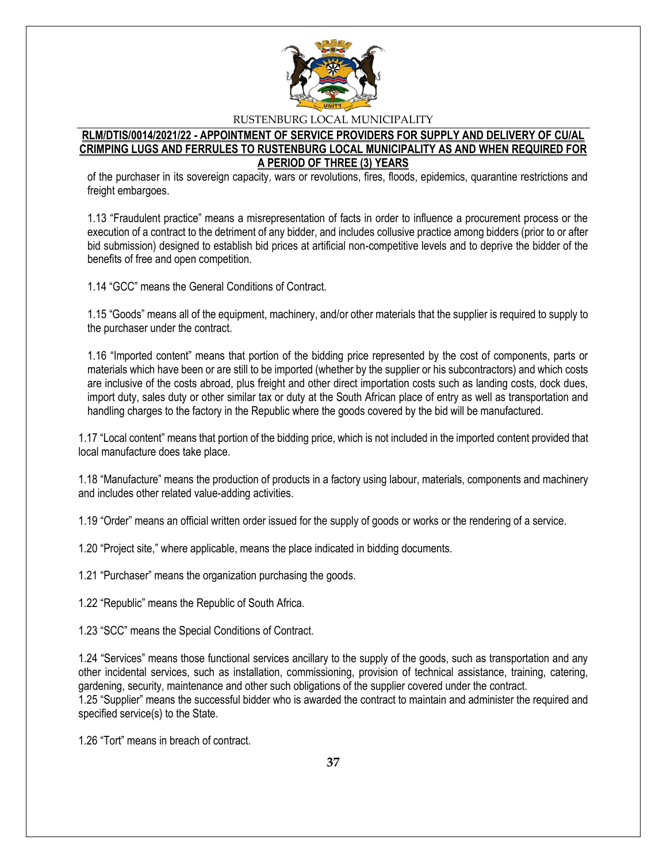

### **RLM/DTIS/0014/2021/22 - APPOINTMENT OF SERVICE PROVIDERS FOR SUPPLY AND DELIVERY OF CU/AL CRIMPING LUGS AND FERRULES TO RUSTENBURG LOCAL MUNICIPALITY AS AND WHEN REQUIRED FOR A PERIOD OF THREE (3) YEARS**

of the purchaser in its sovereign capacity, wars or revolutions, fires, floods, epidemics, quarantine restrictions and freight embargoes.

1.13 "Fraudulent practice" means a misrepresentation of facts in order to influence a procurement process or the execution of a contract to the detriment of any bidder, and includes collusive practice among bidders (prior to or after bid submission) designed to establish bid prices at artificial non-competitive levels and to deprive the bidder of the benefits of free and open competition.

1.14 "GCC" means the General Conditions of Contract.

1.15 "Goods" means all of the equipment, machinery, and/or other materials that the supplier is required to supply to the purchaser under the contract.

1.16 "Imported content" means that portion of the bidding price represented by the cost of components, parts or materials which have been or are still to be imported (whether by the supplier or his subcontractors) and which costs are inclusive of the costs abroad, plus freight and other direct importation costs such as landing costs, dock dues, import duty, sales duty or other similar tax or duty at the South African place of entry as well as transportation and handling charges to the factory in the Republic where the goods covered by the bid will be manufactured.

1.17 "Local content" means that portion of the bidding price, which is not included in the imported content provided that local manufacture does take place.

1.18 "Manufacture" means the production of products in a factory using labour, materials, components and machinery and includes other related value-adding activities.

1.19 "Order" means an official written order issued for the supply of goods or works or the rendering of a service.

1.20 "Project site," where applicable, means the place indicated in bidding documents.

1.21 "Purchaser" means the organization purchasing the goods.

1.22 "Republic" means the Republic of South Africa.

1.23 "SCC" means the Special Conditions of Contract.

1.24 "Services" means those functional services ancillary to the supply of the goods, such as transportation and any other incidental services, such as installation, commissioning, provision of technical assistance, training, catering, gardening, security, maintenance and other such obligations of the supplier covered under the contract. 1.25 "Supplier" means the successful bidder who is awarded the contract to maintain and administer the required and specified service(s) to the State.

1.26 "Tort" means in breach of contract.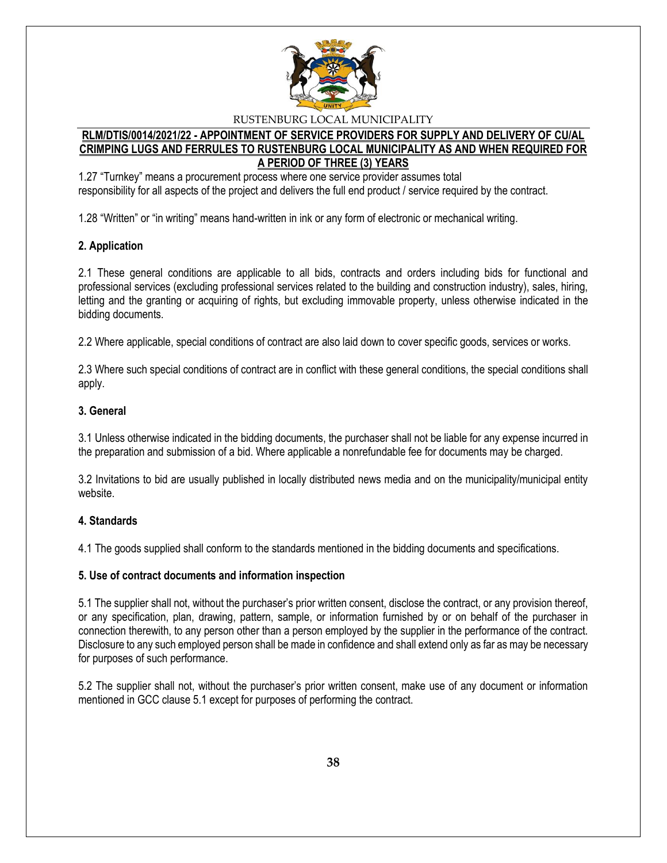

### **RLM/DTIS/0014/2021/22 - APPOINTMENT OF SERVICE PROVIDERS FOR SUPPLY AND DELIVERY OF CU/AL CRIMPING LUGS AND FERRULES TO RUSTENBURG LOCAL MUNICIPALITY AS AND WHEN REQUIRED FOR A PERIOD OF THREE (3) YEARS**

1.27 "Turnkey" means a procurement process where one service provider assumes total responsibility for all aspects of the project and delivers the full end product / service required by the contract.

1.28 "Written" or "in writing" means hand-written in ink or any form of electronic or mechanical writing.

### **2. Application**

2.1 These general conditions are applicable to all bids, contracts and orders including bids for functional and professional services (excluding professional services related to the building and construction industry), sales, hiring, letting and the granting or acquiring of rights, but excluding immovable property, unless otherwise indicated in the bidding documents.

2.2 Where applicable, special conditions of contract are also laid down to cover specific goods, services or works.

2.3 Where such special conditions of contract are in conflict with these general conditions, the special conditions shall apply.

### **3. General**

3.1 Unless otherwise indicated in the bidding documents, the purchaser shall not be liable for any expense incurred in the preparation and submission of a bid. Where applicable a nonrefundable fee for documents may be charged.

3.2 Invitations to bid are usually published in locally distributed news media and on the municipality/municipal entity website.

### **4. Standards**

4.1 The goods supplied shall conform to the standards mentioned in the bidding documents and specifications.

### **5. Use of contract documents and information inspection**

5.1 The supplier shall not, without the purchaser's prior written consent, disclose the contract, or any provision thereof, or any specification, plan, drawing, pattern, sample, or information furnished by or on behalf of the purchaser in connection therewith, to any person other than a person employed by the supplier in the performance of the contract. Disclosure to any such employed person shall be made in confidence and shall extend only as far as may be necessary for purposes of such performance.

5.2 The supplier shall not, without the purchaser's prior written consent, make use of any document or information mentioned in GCC clause 5.1 except for purposes of performing the contract.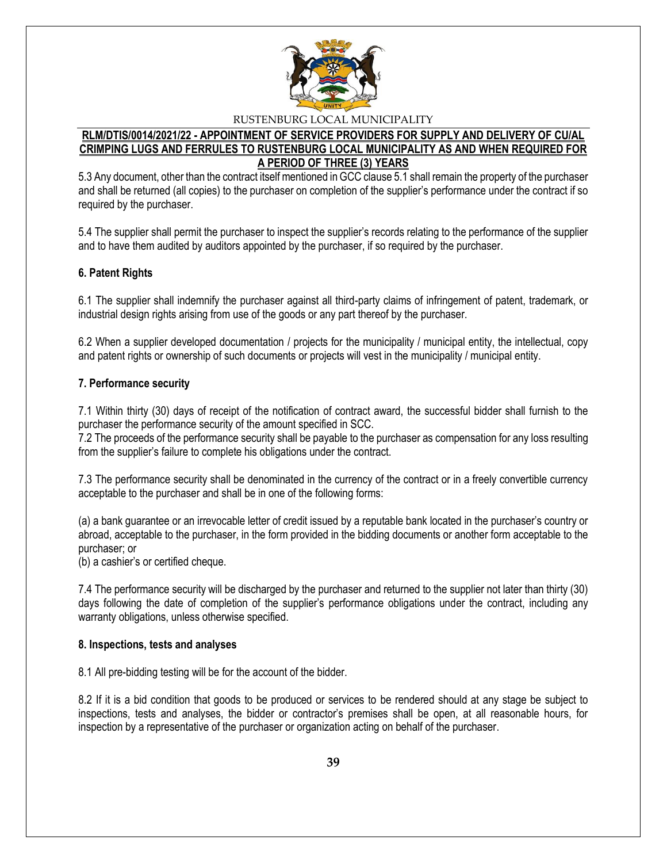

### **RLM/DTIS/0014/2021/22 - APPOINTMENT OF SERVICE PROVIDERS FOR SUPPLY AND DELIVERY OF CU/AL CRIMPING LUGS AND FERRULES TO RUSTENBURG LOCAL MUNICIPALITY AS AND WHEN REQUIRED FOR A PERIOD OF THREE (3) YEARS**

5.3 Any document, other than the contract itself mentioned in GCC clause 5.1 shall remain the property of the purchaser and shall be returned (all copies) to the purchaser on completion of the supplier's performance under the contract if so required by the purchaser.

5.4 The supplier shall permit the purchaser to inspect the supplier's records relating to the performance of the supplier and to have them audited by auditors appointed by the purchaser, if so required by the purchaser.

### **6. Patent Rights**

6.1 The supplier shall indemnify the purchaser against all third-party claims of infringement of patent, trademark, or industrial design rights arising from use of the goods or any part thereof by the purchaser.

6.2 When a supplier developed documentation / projects for the municipality / municipal entity, the intellectual, copy and patent rights or ownership of such documents or projects will vest in the municipality / municipal entity.

### **7. Performance security**

7.1 Within thirty (30) days of receipt of the notification of contract award, the successful bidder shall furnish to the purchaser the performance security of the amount specified in SCC.

7.2 The proceeds of the performance security shall be payable to the purchaser as compensation for any loss resulting from the supplier's failure to complete his obligations under the contract.

7.3 The performance security shall be denominated in the currency of the contract or in a freely convertible currency acceptable to the purchaser and shall be in one of the following forms:

(a) a bank guarantee or an irrevocable letter of credit issued by a reputable bank located in the purchaser's country or abroad, acceptable to the purchaser, in the form provided in the bidding documents or another form acceptable to the purchaser; or

(b) a cashier's or certified cheque.

7.4 The performance security will be discharged by the purchaser and returned to the supplier not later than thirty (30) days following the date of completion of the supplier's performance obligations under the contract, including any warranty obligations, unless otherwise specified.

### **8. Inspections, tests and analyses**

8.1 All pre-bidding testing will be for the account of the bidder.

8.2 If it is a bid condition that goods to be produced or services to be rendered should at any stage be subject to inspections, tests and analyses, the bidder or contractor's premises shall be open, at all reasonable hours, for inspection by a representative of the purchaser or organization acting on behalf of the purchaser.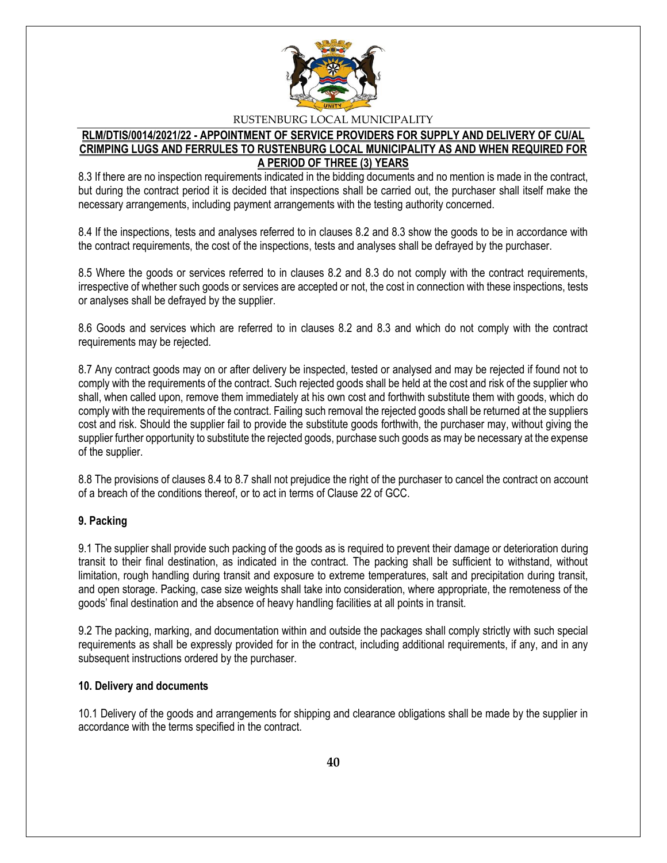

### **RLM/DTIS/0014/2021/22 - APPOINTMENT OF SERVICE PROVIDERS FOR SUPPLY AND DELIVERY OF CU/AL CRIMPING LUGS AND FERRULES TO RUSTENBURG LOCAL MUNICIPALITY AS AND WHEN REQUIRED FOR A PERIOD OF THREE (3) YEARS**

8.3 If there are no inspection requirements indicated in the bidding documents and no mention is made in the contract, but during the contract period it is decided that inspections shall be carried out, the purchaser shall itself make the necessary arrangements, including payment arrangements with the testing authority concerned.

8.4 If the inspections, tests and analyses referred to in clauses 8.2 and 8.3 show the goods to be in accordance with the contract requirements, the cost of the inspections, tests and analyses shall be defrayed by the purchaser.

8.5 Where the goods or services referred to in clauses 8.2 and 8.3 do not comply with the contract requirements, irrespective of whether such goods or services are accepted or not, the cost in connection with these inspections, tests or analyses shall be defrayed by the supplier.

8.6 Goods and services which are referred to in clauses 8.2 and 8.3 and which do not comply with the contract requirements may be rejected.

8.7 Any contract goods may on or after delivery be inspected, tested or analysed and may be rejected if found not to comply with the requirements of the contract. Such rejected goods shall be held at the cost and risk of the supplier who shall, when called upon, remove them immediately at his own cost and forthwith substitute them with goods, which do comply with the requirements of the contract. Failing such removal the rejected goods shall be returned at the suppliers cost and risk. Should the supplier fail to provide the substitute goods forthwith, the purchaser may, without giving the supplier further opportunity to substitute the rejected goods, purchase such goods as may be necessary at the expense of the supplier.

8.8 The provisions of clauses 8.4 to 8.7 shall not prejudice the right of the purchaser to cancel the contract on account of a breach of the conditions thereof, or to act in terms of Clause 22 of GCC.

### **9. Packing**

9.1 The supplier shall provide such packing of the goods as is required to prevent their damage or deterioration during transit to their final destination, as indicated in the contract. The packing shall be sufficient to withstand, without limitation, rough handling during transit and exposure to extreme temperatures, salt and precipitation during transit, and open storage. Packing, case size weights shall take into consideration, where appropriate, the remoteness of the goods' final destination and the absence of heavy handling facilities at all points in transit.

9.2 The packing, marking, and documentation within and outside the packages shall comply strictly with such special requirements as shall be expressly provided for in the contract, including additional requirements, if any, and in any subsequent instructions ordered by the purchaser.

#### **10. Delivery and documents**

10.1 Delivery of the goods and arrangements for shipping and clearance obligations shall be made by the supplier in accordance with the terms specified in the contract.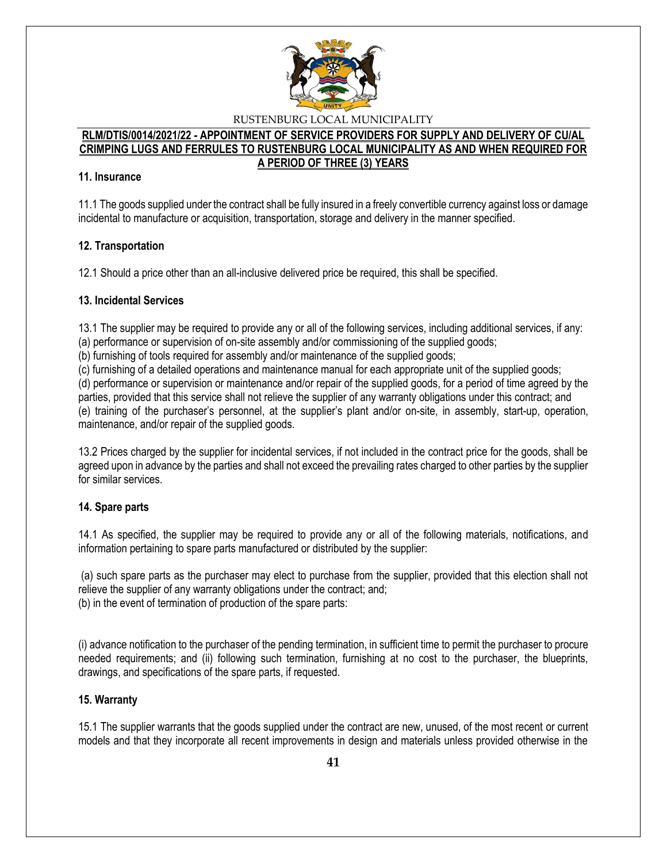

#### **RLM/DTIS/0014/2021/22 - APPOINTMENT OF SERVICE PROVIDERS FOR SUPPLY AND DELIVERY OF CU/AL CRIMPING LUGS AND FERRULES TO RUSTENBURG LOCAL MUNICIPALITY AS AND WHEN REQUIRED FOR A PERIOD OF THREE (3) YEARS**

### **11. Insurance**

11.1 The goods supplied under the contract shall be fully insured in a freely convertible currency against loss or damage incidental to manufacture or acquisition, transportation, storage and delivery in the manner specified.

### **12. Transportation**

12.1 Should a price other than an all-inclusive delivered price be required, this shall be specified.

### **13. Incidental Services**

13.1 The supplier may be required to provide any or all of the following services, including additional services, if any: (a) performance or supervision of on-site assembly and/or commissioning of the supplied goods;

(b) furnishing of tools required for assembly and/or maintenance of the supplied goods;

(c) furnishing of a detailed operations and maintenance manual for each appropriate unit of the supplied goods;

(d) performance or supervision or maintenance and/or repair of the supplied goods, for a period of time agreed by the parties, provided that this service shall not relieve the supplier of any warranty obligations under this contract; and (e) training of the purchaser's personnel, at the supplier's plant and/or on-site, in assembly, start-up, operation, maintenance, and/or repair of the supplied goods.

13.2 Prices charged by the supplier for incidental services, if not included in the contract price for the goods, shall be agreed upon in advance by the parties and shall not exceed the prevailing rates charged to other parties by the supplier for similar services.

### **14. Spare parts**

14.1 As specified, the supplier may be required to provide any or all of the following materials, notifications, and information pertaining to spare parts manufactured or distributed by the supplier:

(a) such spare parts as the purchaser may elect to purchase from the supplier, provided that this election shall not relieve the supplier of any warranty obligations under the contract; and; (b) in the event of termination of production of the spare parts:

(i) advance notification to the purchaser of the pending termination, in sufficient time to permit the purchaser to procure needed requirements; and (ii) following such termination, furnishing at no cost to the purchaser, the blueprints, drawings, and specifications of the spare parts, if requested.

### **15. Warranty**

15.1 The supplier warrants that the goods supplied under the contract are new, unused, of the most recent or current models and that they incorporate all recent improvements in design and materials unless provided otherwise in the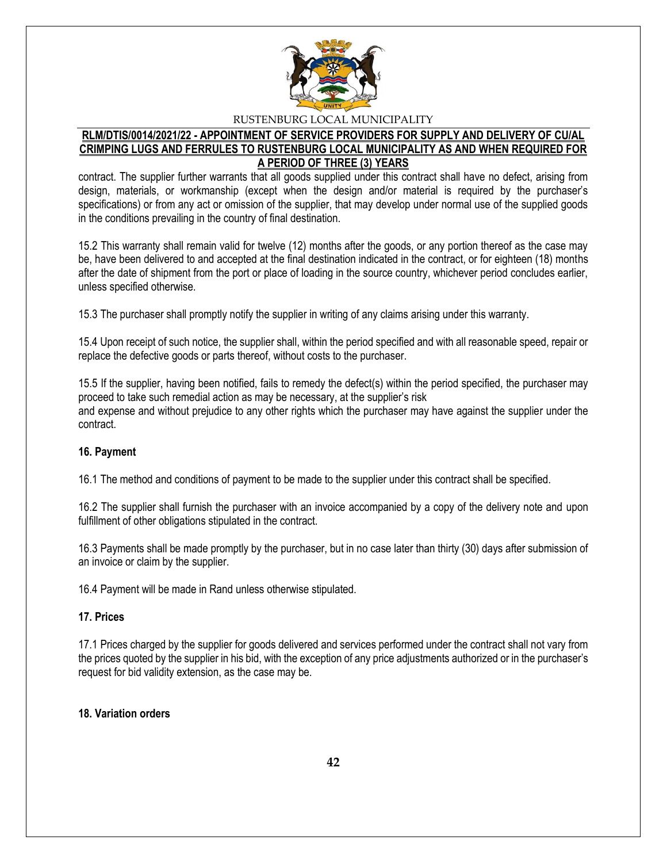

### **RLM/DTIS/0014/2021/22 - APPOINTMENT OF SERVICE PROVIDERS FOR SUPPLY AND DELIVERY OF CU/AL CRIMPING LUGS AND FERRULES TO RUSTENBURG LOCAL MUNICIPALITY AS AND WHEN REQUIRED FOR A PERIOD OF THREE (3) YEARS**

contract. The supplier further warrants that all goods supplied under this contract shall have no defect, arising from design, materials, or workmanship (except when the design and/or material is required by the purchaser's specifications) or from any act or omission of the supplier, that may develop under normal use of the supplied goods in the conditions prevailing in the country of final destination.

15.2 This warranty shall remain valid for twelve (12) months after the goods, or any portion thereof as the case may be, have been delivered to and accepted at the final destination indicated in the contract, or for eighteen (18) months after the date of shipment from the port or place of loading in the source country, whichever period concludes earlier, unless specified otherwise.

15.3 The purchaser shall promptly notify the supplier in writing of any claims arising under this warranty.

15.4 Upon receipt of such notice, the supplier shall, within the period specified and with all reasonable speed, repair or replace the defective goods or parts thereof, without costs to the purchaser.

15.5 If the supplier, having been notified, fails to remedy the defect(s) within the period specified, the purchaser may proceed to take such remedial action as may be necessary, at the supplier's risk and expense and without prejudice to any other rights which the purchaser may have against the supplier under the contract.

### **16. Payment**

16.1 The method and conditions of payment to be made to the supplier under this contract shall be specified.

16.2 The supplier shall furnish the purchaser with an invoice accompanied by a copy of the delivery note and upon fulfillment of other obligations stipulated in the contract.

16.3 Payments shall be made promptly by the purchaser, but in no case later than thirty (30) days after submission of an invoice or claim by the supplier.

16.4 Payment will be made in Rand unless otherwise stipulated.

### **17. Prices**

17.1 Prices charged by the supplier for goods delivered and services performed under the contract shall not vary from the prices quoted by the supplier in his bid, with the exception of any price adjustments authorized or in the purchaser's request for bid validity extension, as the case may be.

#### **18. Variation orders**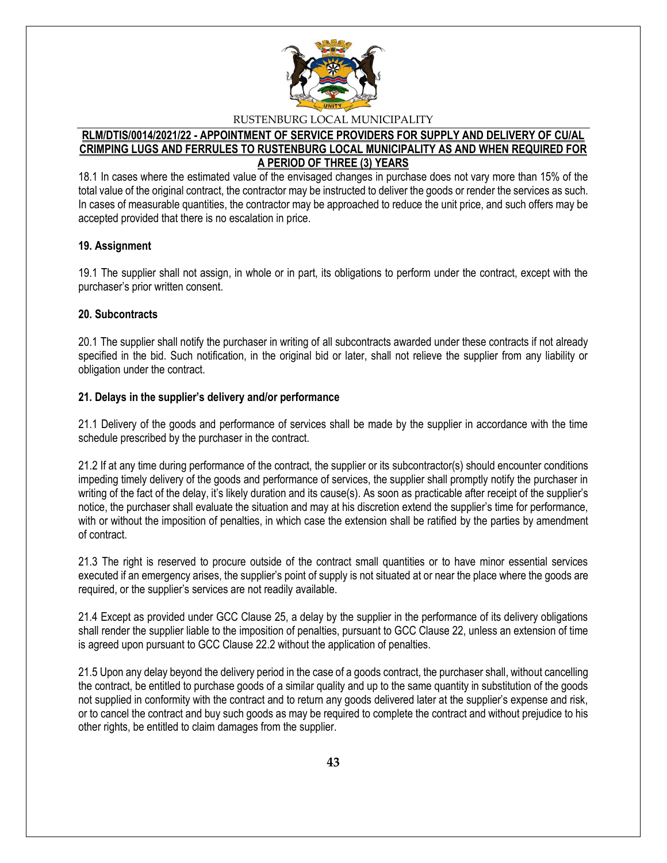

### **RLM/DTIS/0014/2021/22 - APPOINTMENT OF SERVICE PROVIDERS FOR SUPPLY AND DELIVERY OF CU/AL CRIMPING LUGS AND FERRULES TO RUSTENBURG LOCAL MUNICIPALITY AS AND WHEN REQUIRED FOR A PERIOD OF THREE (3) YEARS**

18.1 In cases where the estimated value of the envisaged changes in purchase does not vary more than 15% of the total value of the original contract, the contractor may be instructed to deliver the goods or render the services as such. In cases of measurable quantities, the contractor may be approached to reduce the unit price, and such offers may be accepted provided that there is no escalation in price.

### **19. Assignment**

19.1 The supplier shall not assign, in whole or in part, its obligations to perform under the contract, except with the purchaser's prior written consent.

### **20. Subcontracts**

20.1 The supplier shall notify the purchaser in writing of all subcontracts awarded under these contracts if not already specified in the bid. Such notification, in the original bid or later, shall not relieve the supplier from any liability or obligation under the contract.

### **21. Delays in the supplier's delivery and/or performance**

21.1 Delivery of the goods and performance of services shall be made by the supplier in accordance with the time schedule prescribed by the purchaser in the contract.

21.2 If at any time during performance of the contract, the supplier or its subcontractor(s) should encounter conditions impeding timely delivery of the goods and performance of services, the supplier shall promptly notify the purchaser in writing of the fact of the delay, it's likely duration and its cause(s). As soon as practicable after receipt of the supplier's notice, the purchaser shall evaluate the situation and may at his discretion extend the supplier's time for performance, with or without the imposition of penalties, in which case the extension shall be ratified by the parties by amendment of contract.

21.3 The right is reserved to procure outside of the contract small quantities or to have minor essential services executed if an emergency arises, the supplier's point of supply is not situated at or near the place where the goods are required, or the supplier's services are not readily available.

21.4 Except as provided under GCC Clause 25, a delay by the supplier in the performance of its delivery obligations shall render the supplier liable to the imposition of penalties, pursuant to GCC Clause 22, unless an extension of time is agreed upon pursuant to GCC Clause 22.2 without the application of penalties.

21.5 Upon any delay beyond the delivery period in the case of a goods contract, the purchaser shall, without cancelling the contract, be entitled to purchase goods of a similar quality and up to the same quantity in substitution of the goods not supplied in conformity with the contract and to return any goods delivered later at the supplier's expense and risk, or to cancel the contract and buy such goods as may be required to complete the contract and without prejudice to his other rights, be entitled to claim damages from the supplier.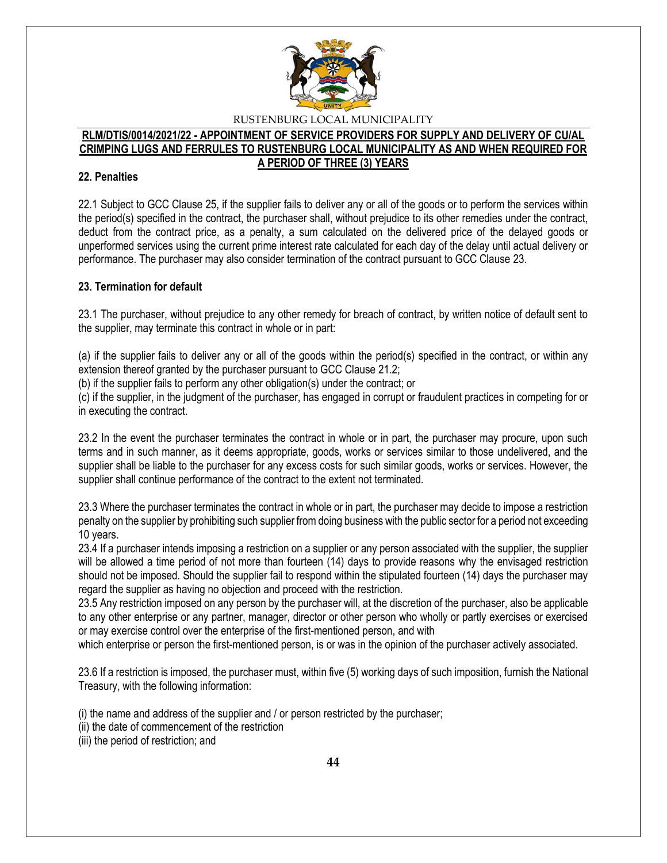

#### **RLM/DTIS/0014/2021/22 - APPOINTMENT OF SERVICE PROVIDERS FOR SUPPLY AND DELIVERY OF CU/AL CRIMPING LUGS AND FERRULES TO RUSTENBURG LOCAL MUNICIPALITY AS AND WHEN REQUIRED FOR A PERIOD OF THREE (3) YEARS**

### **22. Penalties**

22.1 Subject to GCC Clause 25, if the supplier fails to deliver any or all of the goods or to perform the services within the period(s) specified in the contract, the purchaser shall, without prejudice to its other remedies under the contract, deduct from the contract price, as a penalty, a sum calculated on the delivered price of the delayed goods or unperformed services using the current prime interest rate calculated for each day of the delay until actual delivery or performance. The purchaser may also consider termination of the contract pursuant to GCC Clause 23.

### **23. Termination for default**

23.1 The purchaser, without prejudice to any other remedy for breach of contract, by written notice of default sent to the supplier, may terminate this contract in whole or in part:

(a) if the supplier fails to deliver any or all of the goods within the period(s) specified in the contract, or within any extension thereof granted by the purchaser pursuant to GCC Clause 21.2;

(b) if the supplier fails to perform any other obligation(s) under the contract; or

(c) if the supplier, in the judgment of the purchaser, has engaged in corrupt or fraudulent practices in competing for or in executing the contract.

23.2 In the event the purchaser terminates the contract in whole or in part, the purchaser may procure, upon such terms and in such manner, as it deems appropriate, goods, works or services similar to those undelivered, and the supplier shall be liable to the purchaser for any excess costs for such similar goods, works or services. However, the supplier shall continue performance of the contract to the extent not terminated.

23.3 Where the purchaser terminates the contract in whole or in part, the purchaser may decide to impose a restriction penalty on the supplier by prohibiting such supplier from doing business with the public sector for a period not exceeding 10 years.

23.4 If a purchaser intends imposing a restriction on a supplier or any person associated with the supplier, the supplier will be allowed a time period of not more than fourteen (14) days to provide reasons why the envisaged restriction should not be imposed. Should the supplier fail to respond within the stipulated fourteen (14) days the purchaser may regard the supplier as having no objection and proceed with the restriction.

23.5 Any restriction imposed on any person by the purchaser will, at the discretion of the purchaser, also be applicable to any other enterprise or any partner, manager, director or other person who wholly or partly exercises or exercised or may exercise control over the enterprise of the first-mentioned person, and with

which enterprise or person the first-mentioned person, is or was in the opinion of the purchaser actively associated.

23.6 If a restriction is imposed, the purchaser must, within five (5) working days of such imposition, furnish the National Treasury, with the following information:

(i) the name and address of the supplier and / or person restricted by the purchaser;

- (ii) the date of commencement of the restriction
- (iii) the period of restriction; and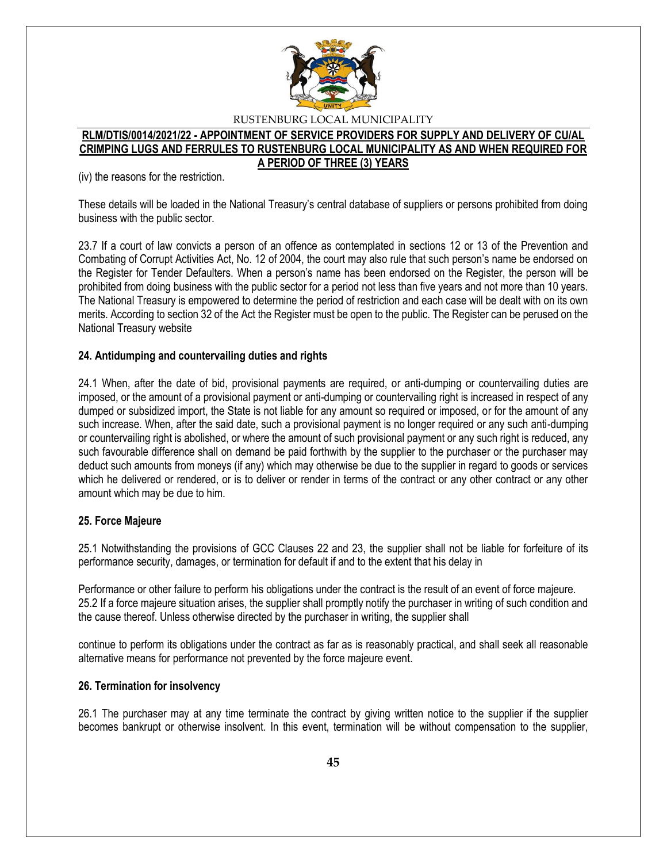

#### **RLM/DTIS/0014/2021/22 - APPOINTMENT OF SERVICE PROVIDERS FOR SUPPLY AND DELIVERY OF CU/AL CRIMPING LUGS AND FERRULES TO RUSTENBURG LOCAL MUNICIPALITY AS AND WHEN REQUIRED FOR A PERIOD OF THREE (3) YEARS**

(iv) the reasons for the restriction.

These details will be loaded in the National Treasury's central database of suppliers or persons prohibited from doing business with the public sector.

23.7 If a court of law convicts a person of an offence as contemplated in sections 12 or 13 of the Prevention and Combating of Corrupt Activities Act, No. 12 of 2004, the court may also rule that such person's name be endorsed on the Register for Tender Defaulters. When a person's name has been endorsed on the Register, the person will be prohibited from doing business with the public sector for a period not less than five years and not more than 10 years. The National Treasury is empowered to determine the period of restriction and each case will be dealt with on its own merits. According to section 32 of the Act the Register must be open to the public. The Register can be perused on the National Treasury website

### **24. Antidumping and countervailing duties and rights**

24.1 When, after the date of bid, provisional payments are required, or anti-dumping or countervailing duties are imposed, or the amount of a provisional payment or anti-dumping or countervailing right is increased in respect of any dumped or subsidized import, the State is not liable for any amount so required or imposed, or for the amount of any such increase. When, after the said date, such a provisional payment is no longer required or any such anti-dumping or countervailing right is abolished, or where the amount of such provisional payment or any such right is reduced, any such favourable difference shall on demand be paid forthwith by the supplier to the purchaser or the purchaser may deduct such amounts from moneys (if any) which may otherwise be due to the supplier in regard to goods or services which he delivered or rendered, or is to deliver or render in terms of the contract or any other contract or any other amount which may be due to him.

### **25. Force Majeure**

25.1 Notwithstanding the provisions of GCC Clauses 22 and 23, the supplier shall not be liable for forfeiture of its performance security, damages, or termination for default if and to the extent that his delay in

Performance or other failure to perform his obligations under the contract is the result of an event of force majeure. 25.2 If a force majeure situation arises, the supplier shall promptly notify the purchaser in writing of such condition and the cause thereof. Unless otherwise directed by the purchaser in writing, the supplier shall

continue to perform its obligations under the contract as far as is reasonably practical, and shall seek all reasonable alternative means for performance not prevented by the force majeure event.

### **26. Termination for insolvency**

26.1 The purchaser may at any time terminate the contract by giving written notice to the supplier if the supplier becomes bankrupt or otherwise insolvent. In this event, termination will be without compensation to the supplier,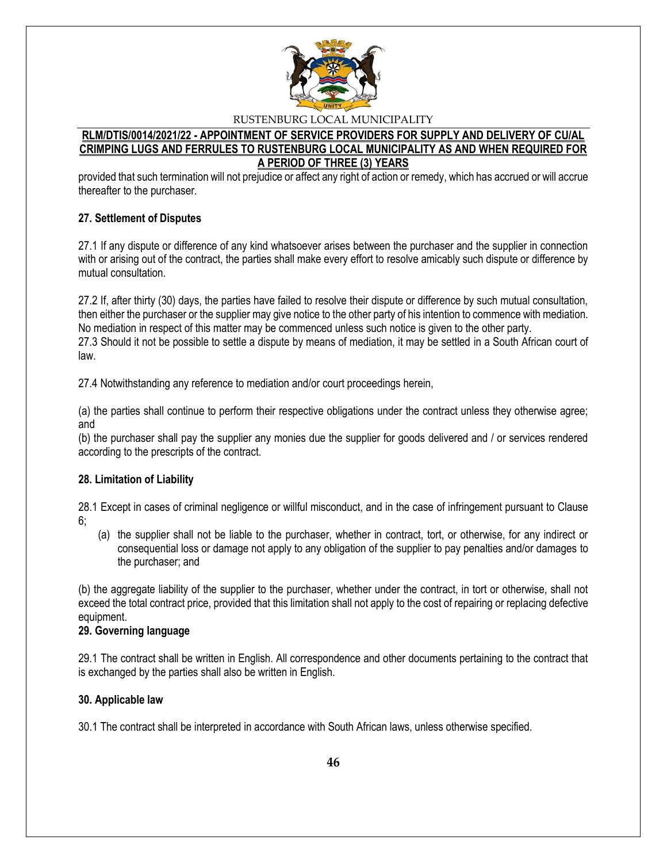

### **RLM/DTIS/0014/2021/22 - APPOINTMENT OF SERVICE PROVIDERS FOR SUPPLY AND DELIVERY OF CU/AL CRIMPING LUGS AND FERRULES TO RUSTENBURG LOCAL MUNICIPALITY AS AND WHEN REQUIRED FOR A PERIOD OF THREE (3) YEARS**

provided that such termination will not prejudice or affect any right of action or remedy, which has accrued or will accrue thereafter to the purchaser.

### **27. Settlement of Disputes**

27.1 If any dispute or difference of any kind whatsoever arises between the purchaser and the supplier in connection with or arising out of the contract, the parties shall make every effort to resolve amicably such dispute or difference by mutual consultation.

27.2 If, after thirty (30) days, the parties have failed to resolve their dispute or difference by such mutual consultation, then either the purchaser or the supplier may give notice to the other party of his intention to commence with mediation. No mediation in respect of this matter may be commenced unless such notice is given to the other party. 27.3 Should it not be possible to settle a dispute by means of mediation, it may be settled in a South African court of law.

27.4 Notwithstanding any reference to mediation and/or court proceedings herein,

(a) the parties shall continue to perform their respective obligations under the contract unless they otherwise agree; and

(b) the purchaser shall pay the supplier any monies due the supplier for goods delivered and / or services rendered according to the prescripts of the contract.

### **28. Limitation of Liability**

28.1 Except in cases of criminal negligence or willful misconduct, and in the case of infringement pursuant to Clause 6;

(a) the supplier shall not be liable to the purchaser, whether in contract, tort, or otherwise, for any indirect or consequential loss or damage not apply to any obligation of the supplier to pay penalties and/or damages to the purchaser; and

(b) the aggregate liability of the supplier to the purchaser, whether under the contract, in tort or otherwise, shall not exceed the total contract price, provided that this limitation shall not apply to the cost of repairing or replacing defective equipment.

### **29. Governing language**

29.1 The contract shall be written in English. All correspondence and other documents pertaining to the contract that is exchanged by the parties shall also be written in English.

### **30. Applicable law**

30.1 The contract shall be interpreted in accordance with South African laws, unless otherwise specified.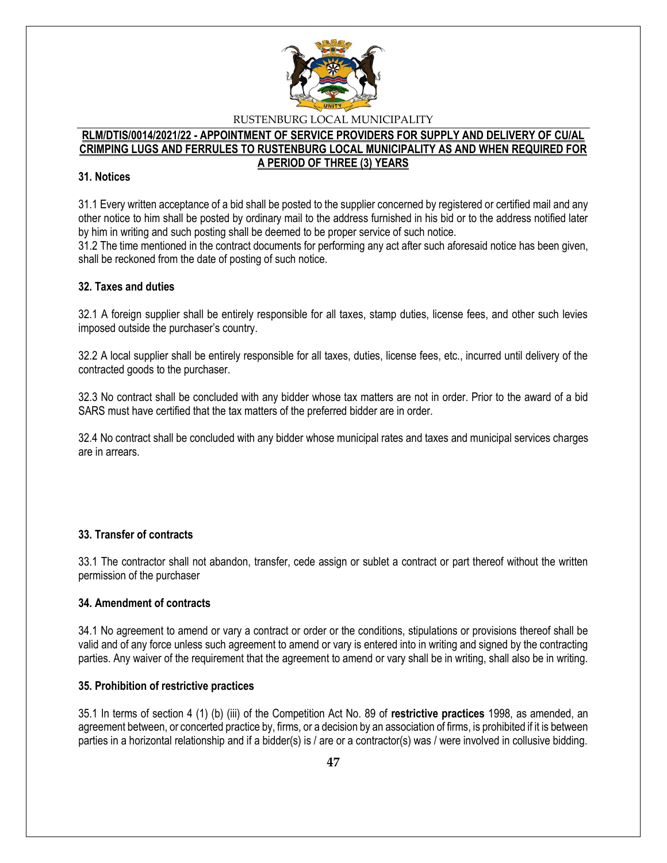

#### **RLM/DTIS/0014/2021/22 - APPOINTMENT OF SERVICE PROVIDERS FOR SUPPLY AND DELIVERY OF CU/AL CRIMPING LUGS AND FERRULES TO RUSTENBURG LOCAL MUNICIPALITY AS AND WHEN REQUIRED FOR A PERIOD OF THREE (3) YEARS**

### **31. Notices**

31.1 Every written acceptance of a bid shall be posted to the supplier concerned by registered or certified mail and any other notice to him shall be posted by ordinary mail to the address furnished in his bid or to the address notified later by him in writing and such posting shall be deemed to be proper service of such notice.

31.2 The time mentioned in the contract documents for performing any act after such aforesaid notice has been given, shall be reckoned from the date of posting of such notice.

### **32. Taxes and duties**

32.1 A foreign supplier shall be entirely responsible for all taxes, stamp duties, license fees, and other such levies imposed outside the purchaser's country.

32.2 A local supplier shall be entirely responsible for all taxes, duties, license fees, etc., incurred until delivery of the contracted goods to the purchaser.

32.3 No contract shall be concluded with any bidder whose tax matters are not in order. Prior to the award of a bid SARS must have certified that the tax matters of the preferred bidder are in order.

32.4 No contract shall be concluded with any bidder whose municipal rates and taxes and municipal services charges are in arrears.

### **33. Transfer of contracts**

33.1 The contractor shall not abandon, transfer, cede assign or sublet a contract or part thereof without the written permission of the purchaser

### **34. Amendment of contracts**

34.1 No agreement to amend or vary a contract or order or the conditions, stipulations or provisions thereof shall be valid and of any force unless such agreement to amend or vary is entered into in writing and signed by the contracting parties. Any waiver of the requirement that the agreement to amend or vary shall be in writing, shall also be in writing.

### **35. Prohibition of restrictive practices**

35.1 In terms of section 4 (1) (b) (iii) of the Competition Act No. 89 of **restrictive practices** 1998, as amended, an agreement between, or concerted practice by, firms, or a decision by an association of firms, is prohibited if it is between parties in a horizontal relationship and if a bidder(s) is / are or a contractor(s) was / were involved in collusive bidding.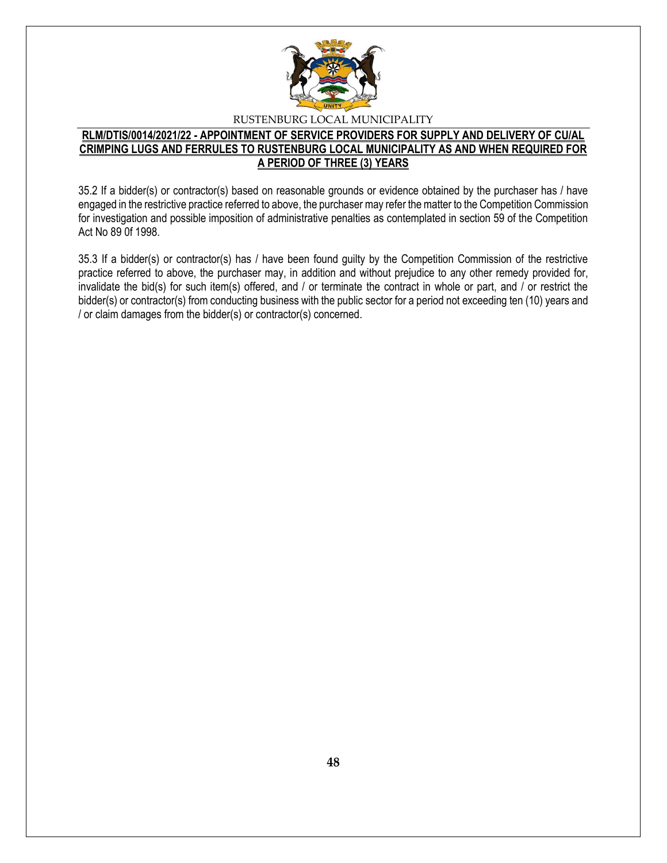

### **RLM/DTIS/0014/2021/22 - APPOINTMENT OF SERVICE PROVIDERS FOR SUPPLY AND DELIVERY OF CU/AL CRIMPING LUGS AND FERRULES TO RUSTENBURG LOCAL MUNICIPALITY AS AND WHEN REQUIRED FOR A PERIOD OF THREE (3) YEARS**

35.2 If a bidder(s) or contractor(s) based on reasonable grounds or evidence obtained by the purchaser has / have engaged in the restrictive practice referred to above, the purchaser may refer the matter to the Competition Commission for investigation and possible imposition of administrative penalties as contemplated in section 59 of the Competition Act No 89 0f 1998.

35.3 If a bidder(s) or contractor(s) has / have been found guilty by the Competition Commission of the restrictive practice referred to above, the purchaser may, in addition and without prejudice to any other remedy provided for, invalidate the bid(s) for such item(s) offered, and / or terminate the contract in whole or part, and / or restrict the bidder(s) or contractor(s) from conducting business with the public sector for a period not exceeding ten (10) years and / or claim damages from the bidder(s) or contractor(s) concerned.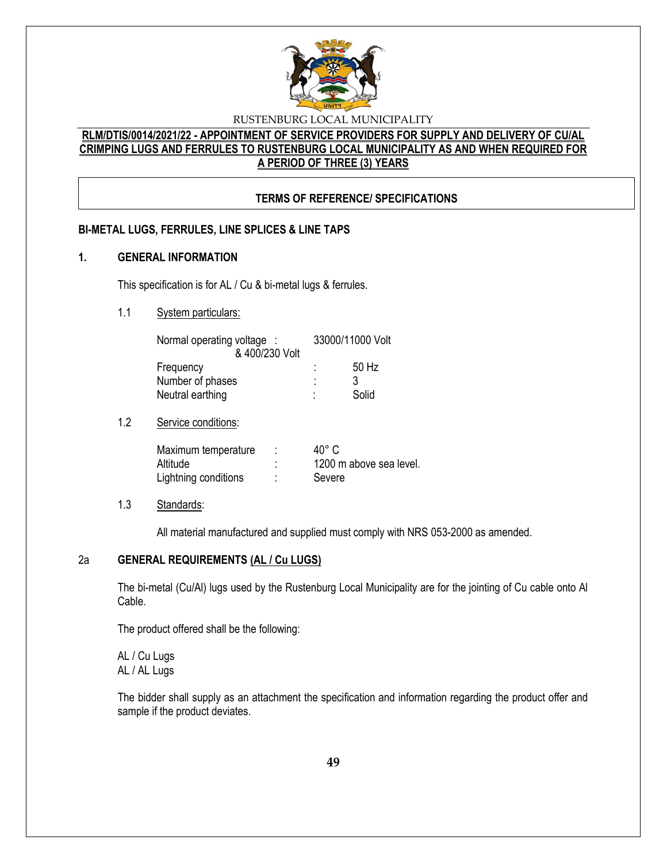

# **RLM/DTIS/0014/2021/22 - APPOINTMENT OF SERVICE PROVIDERS FOR SUPPLY AND DELIVERY OF CU/AL CRIMPING LUGS AND FERRULES TO RUSTENBURG LOCAL MUNICIPALITY AS AND WHEN REQUIRED FOR A PERIOD OF THREE (3) YEARS**

# **TERMS OF REFERENCE/ SPECIFICATIONS**

### **BI-METAL LUGS, FERRULES, LINE SPLICES & LINE TAPS**

#### **1. GENERAL INFORMATION**

This specification is for AL / Cu & bi-metal lugs & ferrules.

### 1.1 System particulars:

| Normal operating voltage : |        | 33000/11000 Volt |
|----------------------------|--------|------------------|
| & 400/230 Volt             |        |                  |
| Frequency                  | ۰<br>٠ | 50 Hz            |
| Number of phases           | ٠<br>٠ |                  |
| Neutral earthing           | ۰      | Solid            |

### 1.2 Service conditions:

| Maximum temperature  | 40° C                   |
|----------------------|-------------------------|
| Altitude             | 1200 m above sea level. |
| Lightning conditions | Severe                  |

#### 1.3 Standards:

All material manufactured and supplied must comply with NRS 053-2000 as amended.

### 2a **GENERAL REQUIREMENTS (AL / Cu LUGS)**

The bi-metal (Cu/Al) lugs used by the Rustenburg Local Municipality are for the jointing of Cu cable onto Al Cable.

The product offered shall be the following:

AL / Cu Lugs AL / AL Lugs

The bidder shall supply as an attachment the specification and information regarding the product offer and sample if the product deviates.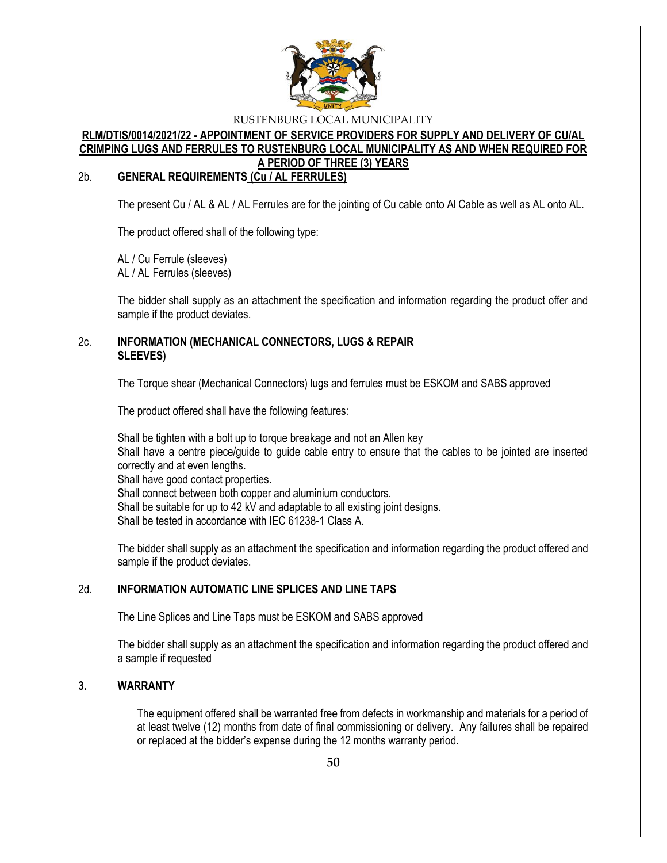

### **RLM/DTIS/0014/2021/22 - APPOINTMENT OF SERVICE PROVIDERS FOR SUPPLY AND DELIVERY OF CU/AL CRIMPING LUGS AND FERRULES TO RUSTENBURG LOCAL MUNICIPALITY AS AND WHEN REQUIRED FOR A PERIOD OF THREE (3) YEARS**

### 2b. **GENERAL REQUIREMENTS (Cu / AL FERRULES)**

The present Cu / AL & AL / AL Ferrules are for the jointing of Cu cable onto Al Cable as well as AL onto AL.

The product offered shall of the following type:

AL / Cu Ferrule (sleeves) AL / AL Ferrules (sleeves)

The bidder shall supply as an attachment the specification and information regarding the product offer and sample if the product deviates.

### 2c. **INFORMATION (MECHANICAL CONNECTORS, LUGS & REPAIR SLEEVES)**

The Torque shear (Mechanical Connectors) lugs and ferrules must be ESKOM and SABS approved

The product offered shall have the following features:

Shall be tighten with a bolt up to torque breakage and not an Allen key Shall have a centre piece/guide to guide cable entry to ensure that the cables to be jointed are inserted correctly and at even lengths. Shall have good contact properties. Shall connect between both copper and aluminium conductors. Shall be suitable for up to 42 kV and adaptable to all existing joint designs. Shall be tested in accordance with IEC 61238-1 Class A.

The bidder shall supply as an attachment the specification and information regarding the product offered and sample if the product deviates.

### 2d. **INFORMATION AUTOMATIC LINE SPLICES AND LINE TAPS**

The Line Splices and Line Taps must be ESKOM and SABS approved

The bidder shall supply as an attachment the specification and information regarding the product offered and a sample if requested

### **3. WARRANTY**

The equipment offered shall be warranted free from defects in workmanship and materials for a period of at least twelve (12) months from date of final commissioning or delivery. Any failures shall be repaired or replaced at the bidder's expense during the 12 months warranty period.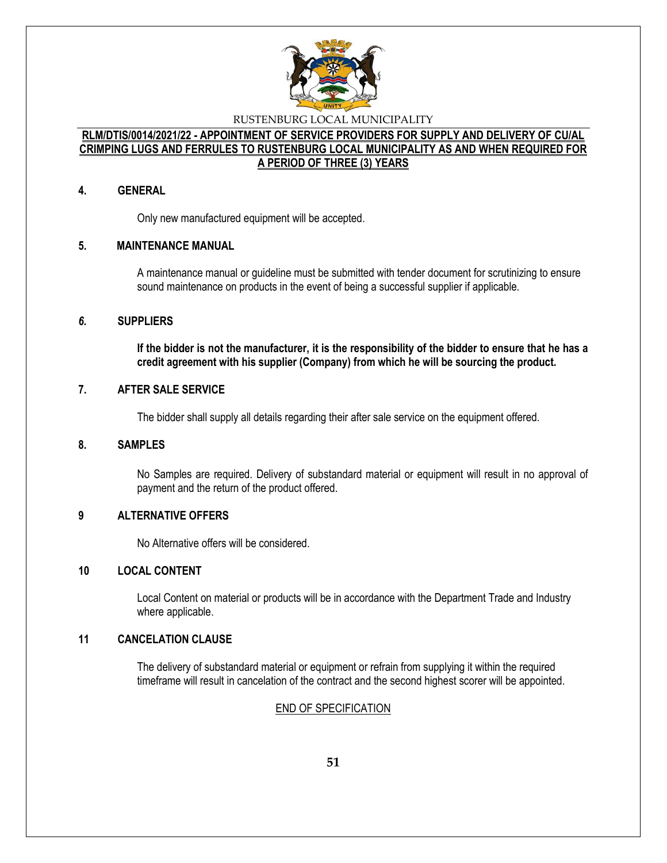

### **RLM/DTIS/0014/2021/22 - APPOINTMENT OF SERVICE PROVIDERS FOR SUPPLY AND DELIVERY OF CU/AL CRIMPING LUGS AND FERRULES TO RUSTENBURG LOCAL MUNICIPALITY AS AND WHEN REQUIRED FOR A PERIOD OF THREE (3) YEARS**

#### **4. GENERAL**

Only new manufactured equipment will be accepted.

### **5. MAINTENANCE MANUAL**

A maintenance manual or guideline must be submitted with tender document for scrutinizing to ensure sound maintenance on products in the event of being a successful supplier if applicable.

#### *6.* **SUPPLIERS**

**If the bidder is not the manufacturer, it is the responsibility of the bidder to ensure that he has a credit agreement with his supplier (Company) from which he will be sourcing the product.** 

### **7. AFTER SALE SERVICE**

The bidder shall supply all details regarding their after sale service on the equipment offered.

### **8. SAMPLES**

No Samples are required. Delivery of substandard material or equipment will result in no approval of payment and the return of the product offered.

### **9 ALTERNATIVE OFFERS**

No Alternative offers will be considered.

### **10 LOCAL CONTENT**

Local Content on material or products will be in accordance with the Department Trade and Industry where applicable.

#### **11 CANCELATION CLAUSE**

The delivery of substandard material or equipment or refrain from supplying it within the required timeframe will result in cancelation of the contract and the second highest scorer will be appointed.

### END OF SPECIFICATION